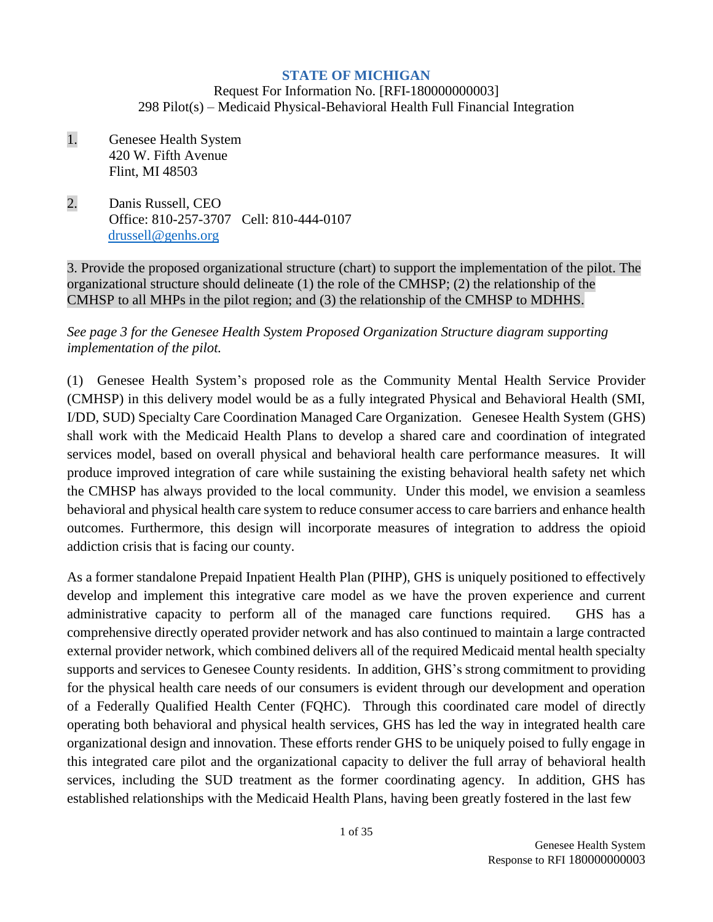#### **STATE OF MICHIGAN**

Request For Information No. [RFI-180000000003] 298 Pilot(s) – Medicaid Physical-Behavioral Health Full Financial Integration

- 1. Genesee Health System 420 W. Fifth Avenue Flint, MI 48503
- 2. Danis Russell, CEO Office: 810-257-3707 Cell: 810-444-0107 [drussell@genhs.org](mailto:drussell@genhs.org)

3. Provide the proposed organizational structure (chart) to support the implementation of the pilot. The organizational structure should delineate (1) the role of the CMHSP; (2) the relationship of the CMHSP to all MHPs in the pilot region; and (3) the relationship of the CMHSP to MDHHS.

#### *See page 3 for the Genesee Health System Proposed Organization Structure diagram supporting implementation of the pilot.*

(1) Genesee Health System's proposed role as the Community Mental Health Service Provider (CMHSP) in this delivery model would be as a fully integrated Physical and Behavioral Health (SMI, I/DD, SUD) Specialty Care Coordination Managed Care Organization. Genesee Health System (GHS) shall work with the Medicaid Health Plans to develop a shared care and coordination of integrated services model, based on overall physical and behavioral health care performance measures. It will produce improved integration of care while sustaining the existing behavioral health safety net which the CMHSP has always provided to the local community. Under this model, we envision a seamless behavioral and physical health care system to reduce consumer access to care barriers and enhance health outcomes. Furthermore, this design will incorporate measures of integration to address the opioid addiction crisis that is facing our county.

As a former standalone Prepaid Inpatient Health Plan (PIHP), GHS is uniquely positioned to effectively develop and implement this integrative care model as we have the proven experience and current administrative capacity to perform all of the managed care functions required. GHS has a comprehensive directly operated provider network and has also continued to maintain a large contracted external provider network, which combined delivers all of the required Medicaid mental health specialty supports and services to Genesee County residents. In addition, GHS's strong commitment to providing for the physical health care needs of our consumers is evident through our development and operation of a Federally Qualified Health Center (FQHC). Through this coordinated care model of directly operating both behavioral and physical health services, GHS has led the way in integrated health care organizational design and innovation. These efforts render GHS to be uniquely poised to fully engage in this integrated care pilot and the organizational capacity to deliver the full array of behavioral health services, including the SUD treatment as the former coordinating agency. In addition, GHS has established relationships with the Medicaid Health Plans, having been greatly fostered in the last few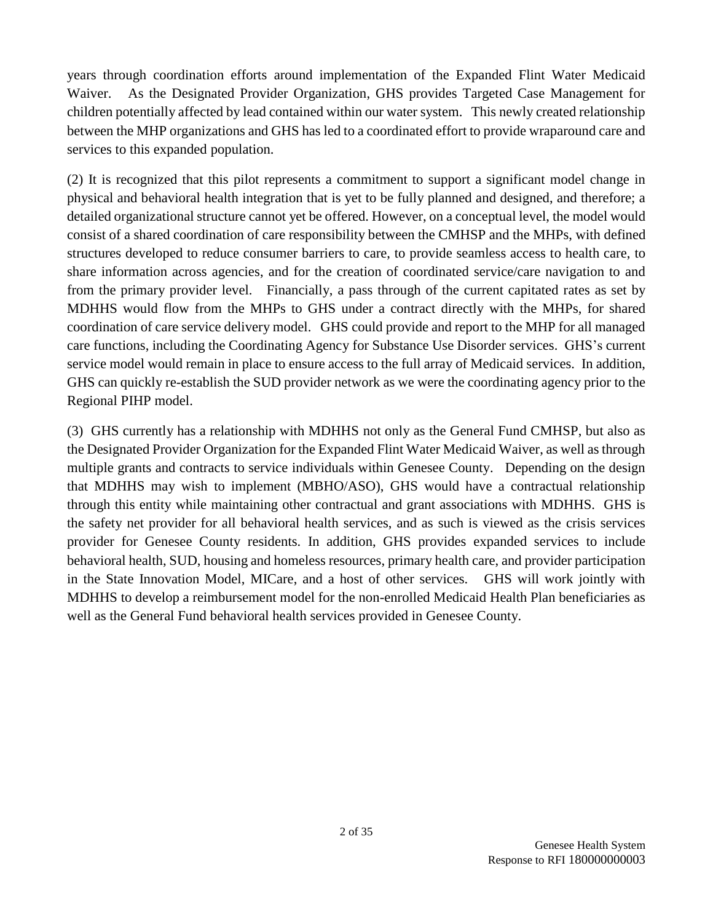years through coordination efforts around implementation of the Expanded Flint Water Medicaid Waiver. As the Designated Provider Organization, GHS provides Targeted Case Management for children potentially affected by lead contained within our water system. This newly created relationship between the MHP organizations and GHS has led to a coordinated effort to provide wraparound care and services to this expanded population.

(2) It is recognized that this pilot represents a commitment to support a significant model change in physical and behavioral health integration that is yet to be fully planned and designed, and therefore; a detailed organizational structure cannot yet be offered. However, on a conceptual level, the model would consist of a shared coordination of care responsibility between the CMHSP and the MHPs, with defined structures developed to reduce consumer barriers to care, to provide seamless access to health care, to share information across agencies, and for the creation of coordinated service/care navigation to and from the primary provider level. Financially, a pass through of the current capitated rates as set by MDHHS would flow from the MHPs to GHS under a contract directly with the MHPs, for shared coordination of care service delivery model. GHS could provide and report to the MHP for all managed care functions, including the Coordinating Agency for Substance Use Disorder services. GHS's current service model would remain in place to ensure access to the full array of Medicaid services. In addition, GHS can quickly re-establish the SUD provider network as we were the coordinating agency prior to the Regional PIHP model.

(3) GHS currently has a relationship with MDHHS not only as the General Fund CMHSP, but also as the Designated Provider Organization for the Expanded Flint Water Medicaid Waiver, as well as through multiple grants and contracts to service individuals within Genesee County. Depending on the design that MDHHS may wish to implement (MBHO/ASO), GHS would have a contractual relationship through this entity while maintaining other contractual and grant associations with MDHHS. GHS is the safety net provider for all behavioral health services, and as such is viewed as the crisis services provider for Genesee County residents. In addition, GHS provides expanded services to include behavioral health, SUD, housing and homeless resources, primary health care, and provider participation in the State Innovation Model, MICare, and a host of other services. GHS will work jointly with MDHHS to develop a reimbursement model for the non-enrolled Medicaid Health Plan beneficiaries as well as the General Fund behavioral health services provided in Genesee County.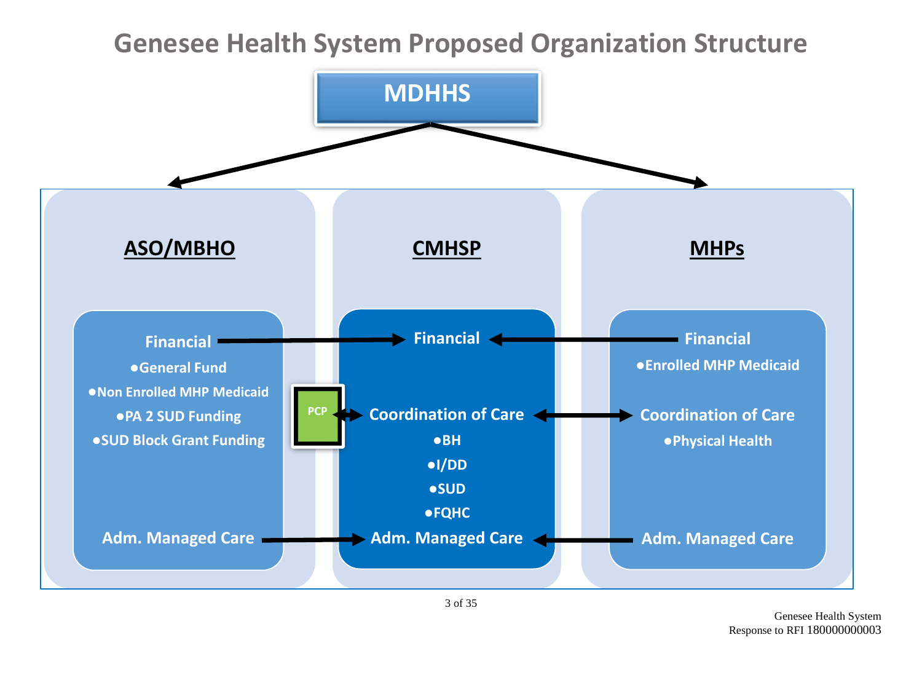# **Genesee Health System Proposed Organization Structure**



Genesee Health System Response to RFI 180000000003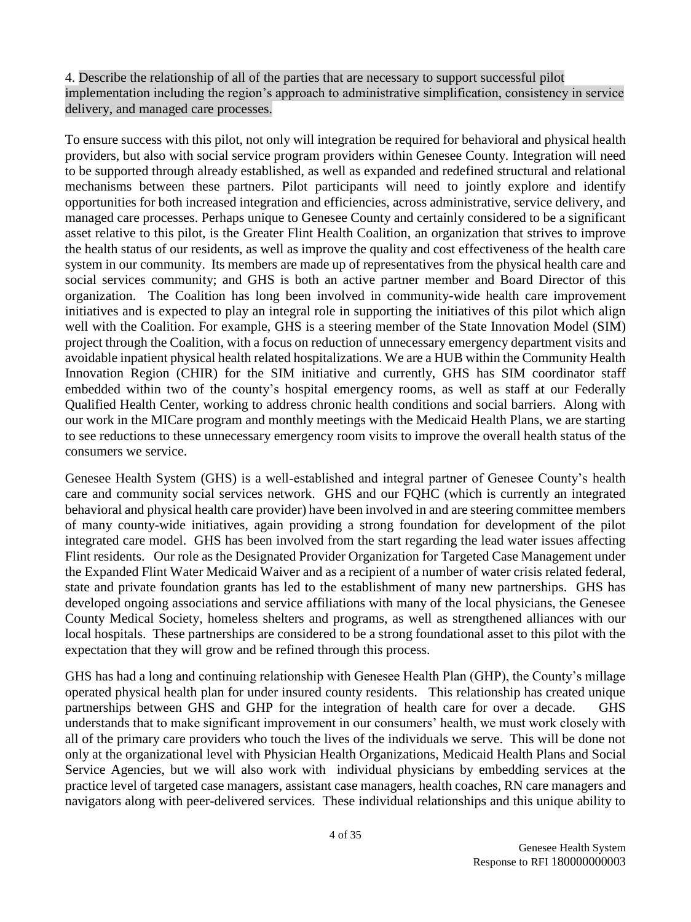4. Describe the relationship of all of the parties that are necessary to support successful pilot implementation including the region's approach to administrative simplification, consistency in service delivery, and managed care processes.

To ensure success with this pilot, not only will integration be required for behavioral and physical health providers, but also with social service program providers within Genesee County. Integration will need to be supported through already established, as well as expanded and redefined structural and relational mechanisms between these partners. Pilot participants will need to jointly explore and identify opportunities for both increased integration and efficiencies, across administrative, service delivery, and managed care processes. Perhaps unique to Genesee County and certainly considered to be a significant asset relative to this pilot, is the Greater Flint Health Coalition, an organization that strives to improve the health status of our residents, as well as improve the quality and cost effectiveness of the health care system in our community. Its members are made up of representatives from the physical health care and social services community; and GHS is both an active partner member and Board Director of this organization. The Coalition has long been involved in community-wide health care improvement initiatives and is expected to play an integral role in supporting the initiatives of this pilot which align well with the Coalition. For example, GHS is a steering member of the State Innovation Model (SIM) project through the Coalition, with a focus on reduction of unnecessary emergency department visits and avoidable inpatient physical health related hospitalizations. We are a HUB within the Community Health Innovation Region (CHIR) for the SIM initiative and currently, GHS has SIM coordinator staff embedded within two of the county's hospital emergency rooms, as well as staff at our Federally Qualified Health Center, working to address chronic health conditions and social barriers. Along with our work in the MICare program and monthly meetings with the Medicaid Health Plans, we are starting to see reductions to these unnecessary emergency room visits to improve the overall health status of the consumers we service.

Genesee Health System (GHS) is a well-established and integral partner of Genesee County's health care and community social services network. GHS and our FQHC (which is currently an integrated behavioral and physical health care provider) have been involved in and are steering committee members of many county-wide initiatives, again providing a strong foundation for development of the pilot integrated care model. GHS has been involved from the start regarding the lead water issues affecting Flint residents. Our role as the Designated Provider Organization for Targeted Case Management under the Expanded Flint Water Medicaid Waiver and as a recipient of a number of water crisis related federal, state and private foundation grants has led to the establishment of many new partnerships. GHS has developed ongoing associations and service affiliations with many of the local physicians, the Genesee County Medical Society, homeless shelters and programs, as well as strengthened alliances with our local hospitals. These partnerships are considered to be a strong foundational asset to this pilot with the expectation that they will grow and be refined through this process.

GHS has had a long and continuing relationship with Genesee Health Plan (GHP), the County's millage operated physical health plan for under insured county residents. This relationship has created unique partnerships between GHS and GHP for the integration of health care for over a decade. GHS understands that to make significant improvement in our consumers' health, we must work closely with all of the primary care providers who touch the lives of the individuals we serve. This will be done not only at the organizational level with Physician Health Organizations, Medicaid Health Plans and Social Service Agencies, but we will also work with individual physicians by embedding services at the practice level of targeted case managers, assistant case managers, health coaches, RN care managers and navigators along with peer-delivered services. These individual relationships and this unique ability to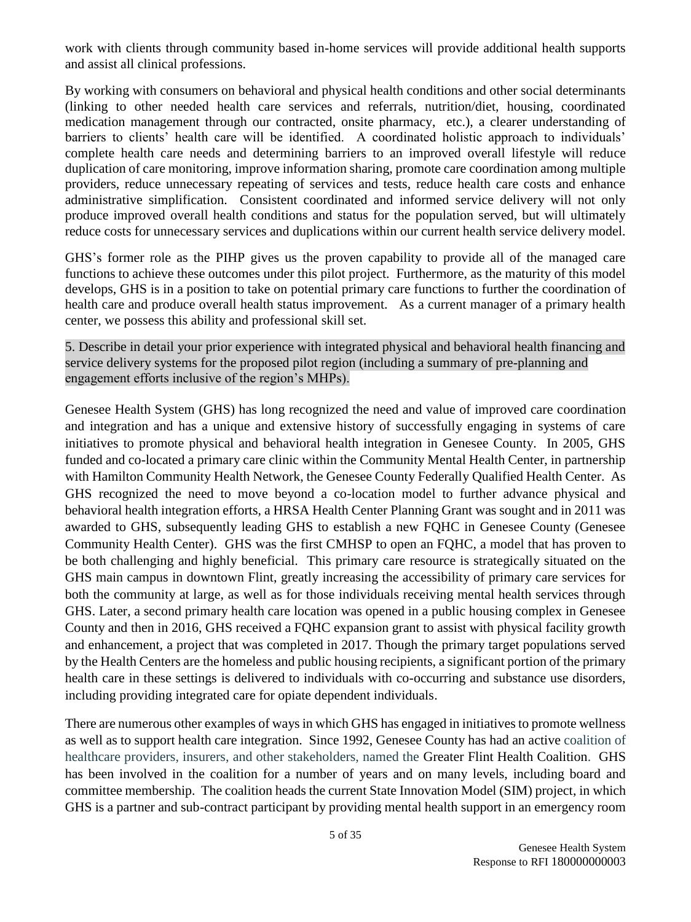work with clients through community based in-home services will provide additional health supports and assist all clinical professions.

By working with consumers on behavioral and physical health conditions and other social determinants (linking to other needed health care services and referrals, nutrition/diet, housing, coordinated medication management through our contracted, onsite pharmacy, etc.), a clearer understanding of barriers to clients' health care will be identified. A coordinated holistic approach to individuals' complete health care needs and determining barriers to an improved overall lifestyle will reduce duplication of care monitoring, improve information sharing, promote care coordination among multiple providers, reduce unnecessary repeating of services and tests, reduce health care costs and enhance administrative simplification. Consistent coordinated and informed service delivery will not only produce improved overall health conditions and status for the population served, but will ultimately reduce costs for unnecessary services and duplications within our current health service delivery model.

GHS's former role as the PIHP gives us the proven capability to provide all of the managed care functions to achieve these outcomes under this pilot project. Furthermore, as the maturity of this model develops, GHS is in a position to take on potential primary care functions to further the coordination of health care and produce overall health status improvement. As a current manager of a primary health center, we possess this ability and professional skill set.

5. Describe in detail your prior experience with integrated physical and behavioral health financing and service delivery systems for the proposed pilot region (including a summary of pre-planning and engagement efforts inclusive of the region's MHPs).

Genesee Health System (GHS) has long recognized the need and value of improved care coordination and integration and has a unique and extensive history of successfully engaging in systems of care initiatives to promote physical and behavioral health integration in Genesee County. In 2005, GHS funded and co-located a primary care clinic within the Community Mental Health Center, in partnership with Hamilton Community Health Network, the Genesee County Federally Qualified Health Center. As GHS recognized the need to move beyond a co-location model to further advance physical and behavioral health integration efforts, a HRSA Health Center Planning Grant was sought and in 2011 was awarded to GHS, subsequently leading GHS to establish a new FQHC in Genesee County (Genesee Community Health Center). GHS was the first CMHSP to open an FQHC, a model that has proven to be both challenging and highly beneficial. This primary care resource is strategically situated on the GHS main campus in downtown Flint, greatly increasing the accessibility of primary care services for both the community at large, as well as for those individuals receiving mental health services through GHS. Later, a second primary health care location was opened in a public housing complex in Genesee County and then in 2016, GHS received a FQHC expansion grant to assist with physical facility growth and enhancement, a project that was completed in 2017. Though the primary target populations served by the Health Centers are the homeless and public housing recipients, a significant portion of the primary health care in these settings is delivered to individuals with co-occurring and substance use disorders, including providing integrated care for opiate dependent individuals.

There are numerous other examples of ways in which GHS has engaged in initiatives to promote wellness as well as to support health care integration. Since 1992, Genesee County has had an active coalition of healthcare providers, insurers, and other stakeholders, named the Greater Flint Health Coalition. GHS has been involved in the coalition for a number of years and on many levels, including board and committee membership. The coalition heads the current State Innovation Model (SIM) project, in which GHS is a partner and sub-contract participant by providing mental health support in an emergency room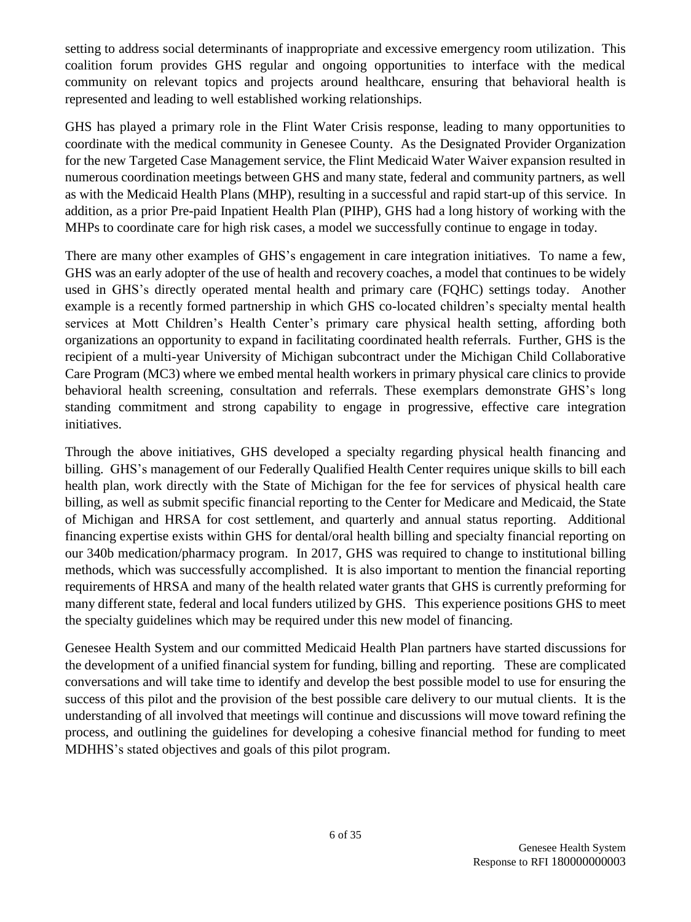setting to address social determinants of inappropriate and excessive emergency room utilization. This coalition forum provides GHS regular and ongoing opportunities to interface with the medical community on relevant topics and projects around healthcare, ensuring that behavioral health is represented and leading to well established working relationships.

GHS has played a primary role in the Flint Water Crisis response, leading to many opportunities to coordinate with the medical community in Genesee County. As the Designated Provider Organization for the new Targeted Case Management service, the Flint Medicaid Water Waiver expansion resulted in numerous coordination meetings between GHS and many state, federal and community partners, as well as with the Medicaid Health Plans (MHP), resulting in a successful and rapid start-up of this service. In addition, as a prior Pre-paid Inpatient Health Plan (PIHP), GHS had a long history of working with the MHPs to coordinate care for high risk cases, a model we successfully continue to engage in today.

There are many other examples of GHS's engagement in care integration initiatives. To name a few, GHS was an early adopter of the use of health and recovery coaches, a model that continues to be widely used in GHS's directly operated mental health and primary care (FQHC) settings today. Another example is a recently formed partnership in which GHS co-located children's specialty mental health services at Mott Children's Health Center's primary care physical health setting, affording both organizations an opportunity to expand in facilitating coordinated health referrals. Further, GHS is the recipient of a multi-year University of Michigan subcontract under the Michigan Child Collaborative Care Program (MC3) where we embed mental health workers in primary physical care clinics to provide behavioral health screening, consultation and referrals. These exemplars demonstrate GHS's long standing commitment and strong capability to engage in progressive, effective care integration initiatives.

Through the above initiatives, GHS developed a specialty regarding physical health financing and billing. GHS's management of our Federally Qualified Health Center requires unique skills to bill each health plan, work directly with the State of Michigan for the fee for services of physical health care billing, as well as submit specific financial reporting to the Center for Medicare and Medicaid, the State of Michigan and HRSA for cost settlement, and quarterly and annual status reporting. Additional financing expertise exists within GHS for dental/oral health billing and specialty financial reporting on our 340b medication/pharmacy program. In 2017, GHS was required to change to institutional billing methods, which was successfully accomplished. It is also important to mention the financial reporting requirements of HRSA and many of the health related water grants that GHS is currently preforming for many different state, federal and local funders utilized by GHS. This experience positions GHS to meet the specialty guidelines which may be required under this new model of financing.

Genesee Health System and our committed Medicaid Health Plan partners have started discussions for the development of a unified financial system for funding, billing and reporting. These are complicated conversations and will take time to identify and develop the best possible model to use for ensuring the success of this pilot and the provision of the best possible care delivery to our mutual clients. It is the understanding of all involved that meetings will continue and discussions will move toward refining the process, and outlining the guidelines for developing a cohesive financial method for funding to meet MDHHS's stated objectives and goals of this pilot program.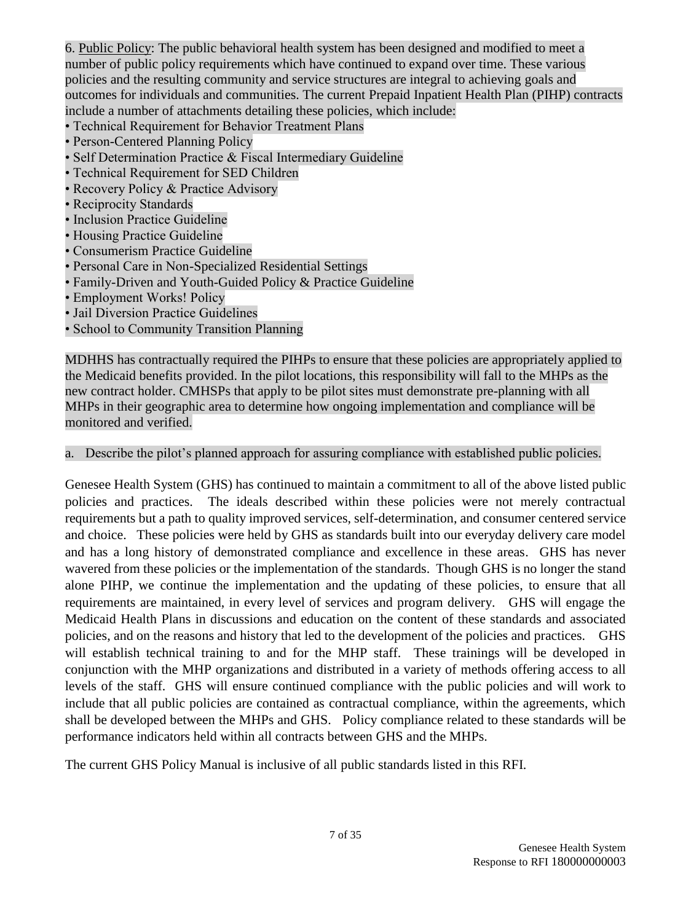6. Public Policy: The public behavioral health system has been designed and modified to meet a number of public policy requirements which have continued to expand over time. These various policies and the resulting community and service structures are integral to achieving goals and outcomes for individuals and communities. The current Prepaid Inpatient Health Plan (PIHP) contracts include a number of attachments detailing these policies, which include:

- Technical Requirement for Behavior Treatment Plans
- Person-Centered Planning Policy
- Self Determination Practice & Fiscal Intermediary Guideline
- Technical Requirement for SED Children
- Recovery Policy & Practice Advisory
- Reciprocity Standards
- Inclusion Practice Guideline
- Housing Practice Guideline
- Consumerism Practice Guideline
- Personal Care in Non-Specialized Residential Settings
- Family-Driven and Youth-Guided Policy & Practice Guideline
- Employment Works! Policy
- Jail Diversion Practice Guidelines
- School to Community Transition Planning

MDHHS has contractually required the PIHPs to ensure that these policies are appropriately applied to the Medicaid benefits provided. In the pilot locations, this responsibility will fall to the MHPs as the new contract holder. CMHSPs that apply to be pilot sites must demonstrate pre-planning with all MHPs in their geographic area to determine how ongoing implementation and compliance will be monitored and verified.

#### a. Describe the pilot's planned approach for assuring compliance with established public policies.

Genesee Health System (GHS) has continued to maintain a commitment to all of the above listed public policies and practices. The ideals described within these policies were not merely contractual requirements but a path to quality improved services, self-determination, and consumer centered service and choice. These policies were held by GHS as standards built into our everyday delivery care model and has a long history of demonstrated compliance and excellence in these areas. GHS has never wavered from these policies or the implementation of the standards. Though GHS is no longer the stand alone PIHP, we continue the implementation and the updating of these policies, to ensure that all requirements are maintained, in every level of services and program delivery. GHS will engage the Medicaid Health Plans in discussions and education on the content of these standards and associated policies, and on the reasons and history that led to the development of the policies and practices. GHS will establish technical training to and for the MHP staff. These trainings will be developed in conjunction with the MHP organizations and distributed in a variety of methods offering access to all levels of the staff. GHS will ensure continued compliance with the public policies and will work to include that all public policies are contained as contractual compliance, within the agreements, which shall be developed between the MHPs and GHS. Policy compliance related to these standards will be performance indicators held within all contracts between GHS and the MHPs.

The current GHS Policy Manual is inclusive of all public standards listed in this RFI.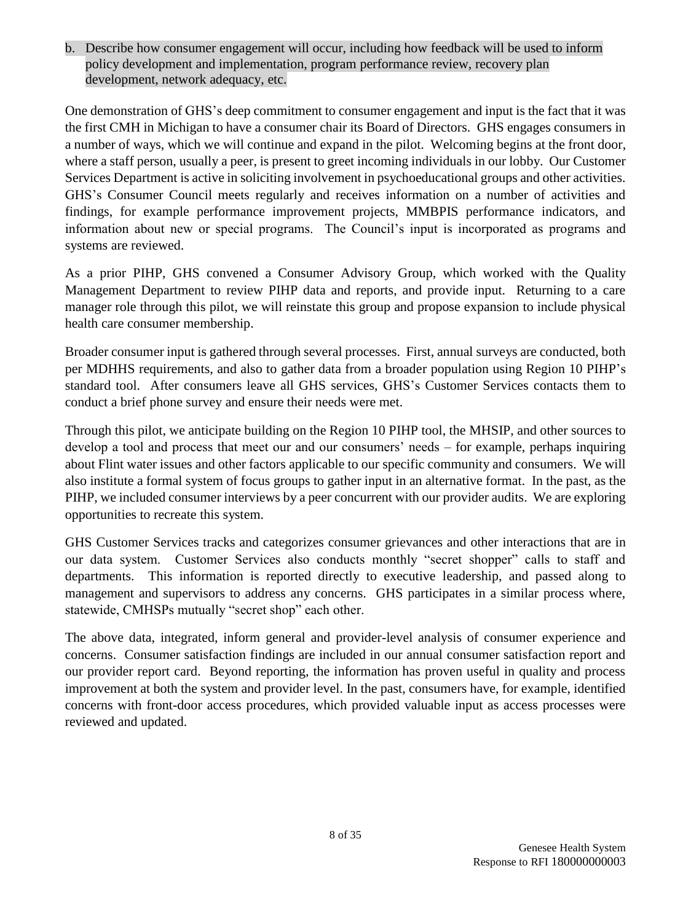b. Describe how consumer engagement will occur, including how feedback will be used to inform policy development and implementation, program performance review, recovery plan development, network adequacy, etc.

One demonstration of GHS's deep commitment to consumer engagement and input is the fact that it was the first CMH in Michigan to have a consumer chair its Board of Directors. GHS engages consumers in a number of ways, which we will continue and expand in the pilot. Welcoming begins at the front door, where a staff person, usually a peer, is present to greet incoming individuals in our lobby. Our Customer Services Department is active in soliciting involvement in psychoeducational groups and other activities. GHS's Consumer Council meets regularly and receives information on a number of activities and findings, for example performance improvement projects, MMBPIS performance indicators, and information about new or special programs. The Council's input is incorporated as programs and systems are reviewed.

As a prior PIHP, GHS convened a Consumer Advisory Group, which worked with the Quality Management Department to review PIHP data and reports, and provide input. Returning to a care manager role through this pilot, we will reinstate this group and propose expansion to include physical health care consumer membership.

Broader consumer input is gathered through several processes. First, annual surveys are conducted, both per MDHHS requirements, and also to gather data from a broader population using Region 10 PIHP's standard tool. After consumers leave all GHS services, GHS's Customer Services contacts them to conduct a brief phone survey and ensure their needs were met.

Through this pilot, we anticipate building on the Region 10 PIHP tool, the MHSIP, and other sources to develop a tool and process that meet our and our consumers' needs – for example, perhaps inquiring about Flint water issues and other factors applicable to our specific community and consumers. We will also institute a formal system of focus groups to gather input in an alternative format. In the past, as the PIHP, we included consumer interviews by a peer concurrent with our provider audits. We are exploring opportunities to recreate this system.

GHS Customer Services tracks and categorizes consumer grievances and other interactions that are in our data system. Customer Services also conducts monthly "secret shopper" calls to staff and departments. This information is reported directly to executive leadership, and passed along to management and supervisors to address any concerns. GHS participates in a similar process where, statewide, CMHSPs mutually "secret shop" each other.

The above data, integrated, inform general and provider-level analysis of consumer experience and concerns. Consumer satisfaction findings are included in our annual consumer satisfaction report and our provider report card. Beyond reporting, the information has proven useful in quality and process improvement at both the system and provider level. In the past, consumers have, for example, identified concerns with front-door access procedures, which provided valuable input as access processes were reviewed and updated.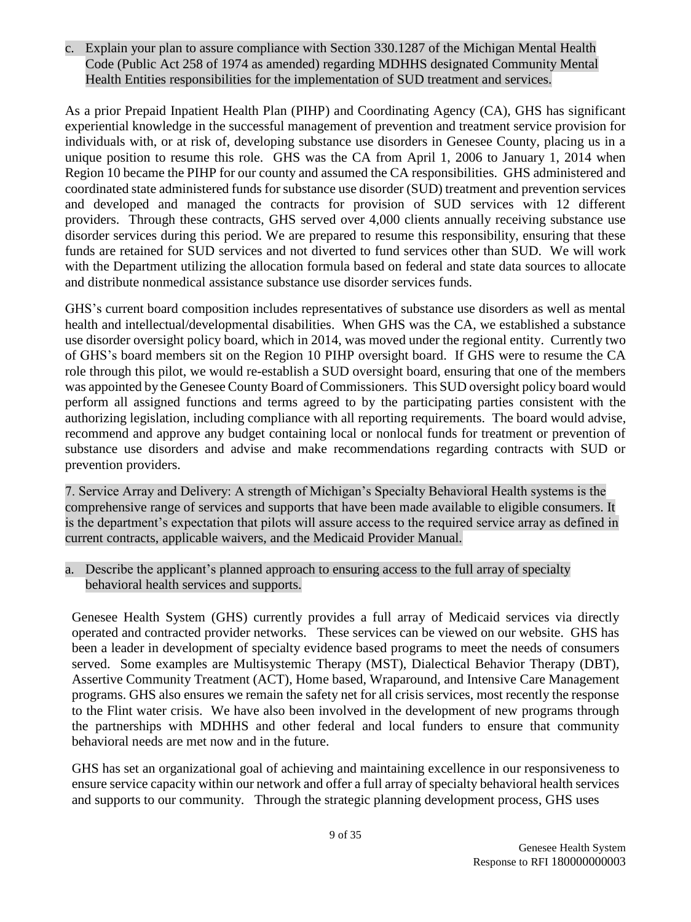c. Explain your plan to assure compliance with Section 330.1287 of the Michigan Mental Health Code (Public Act 258 of 1974 as amended) regarding MDHHS designated Community Mental Health Entities responsibilities for the implementation of SUD treatment and services.

As a prior Prepaid Inpatient Health Plan (PIHP) and Coordinating Agency (CA), GHS has significant experiential knowledge in the successful management of prevention and treatment service provision for individuals with, or at risk of, developing substance use disorders in Genesee County, placing us in a unique position to resume this role. GHS was the CA from April 1, 2006 to January 1, 2014 when Region 10 became the PIHP for our county and assumed the CA responsibilities. GHS administered and coordinated state administered funds for substance use disorder (SUD) treatment and prevention services and developed and managed the contracts for provision of SUD services with 12 different providers. Through these contracts, GHS served over 4,000 clients annually receiving substance use disorder services during this period. We are prepared to resume this responsibility, ensuring that these funds are retained for SUD services and not diverted to fund services other than SUD. We will work with the Department utilizing the allocation formula based on federal and state data sources to allocate and distribute nonmedical assistance substance use disorder services funds.

GHS's current board composition includes representatives of substance use disorders as well as mental health and intellectual/developmental disabilities. When GHS was the CA, we established a substance use disorder oversight policy board, which in 2014, was moved under the regional entity. Currently two of GHS's board members sit on the Region 10 PIHP oversight board. If GHS were to resume the CA role through this pilot, we would re-establish a SUD oversight board, ensuring that one of the members was appointed by the Genesee County Board of Commissioners. This SUD oversight policy board would perform all assigned functions and terms agreed to by the participating parties consistent with the authorizing legislation, including compliance with all reporting requirements. The board would advise, recommend and approve any budget containing local or nonlocal funds for treatment or prevention of substance use disorders and advise and make recommendations regarding contracts with SUD or prevention providers.

7. Service Array and Delivery: A strength of Michigan's Specialty Behavioral Health systems is the comprehensive range of services and supports that have been made available to eligible consumers. It is the department's expectation that pilots will assure access to the required service array as defined in current contracts, applicable waivers, and the Medicaid Provider Manual.

a. Describe the applicant's planned approach to ensuring access to the full array of specialty behavioral health services and supports.

Genesee Health System (GHS) currently provides a full array of Medicaid services via directly operated and contracted provider networks. These services can be viewed on our website. GHS has been a leader in development of specialty evidence based programs to meet the needs of consumers served. Some examples are Multisystemic Therapy (MST), Dialectical Behavior Therapy (DBT), Assertive Community Treatment (ACT), Home based, Wraparound, and Intensive Care Management programs. GHS also ensures we remain the safety net for all crisis services, most recently the response to the Flint water crisis. We have also been involved in the development of new programs through the partnerships with MDHHS and other federal and local funders to ensure that community behavioral needs are met now and in the future.

GHS has set an organizational goal of achieving and maintaining excellence in our responsiveness to ensure service capacity within our network and offer a full array of specialty behavioral health services and supports to our community. Through the strategic planning development process, GHS uses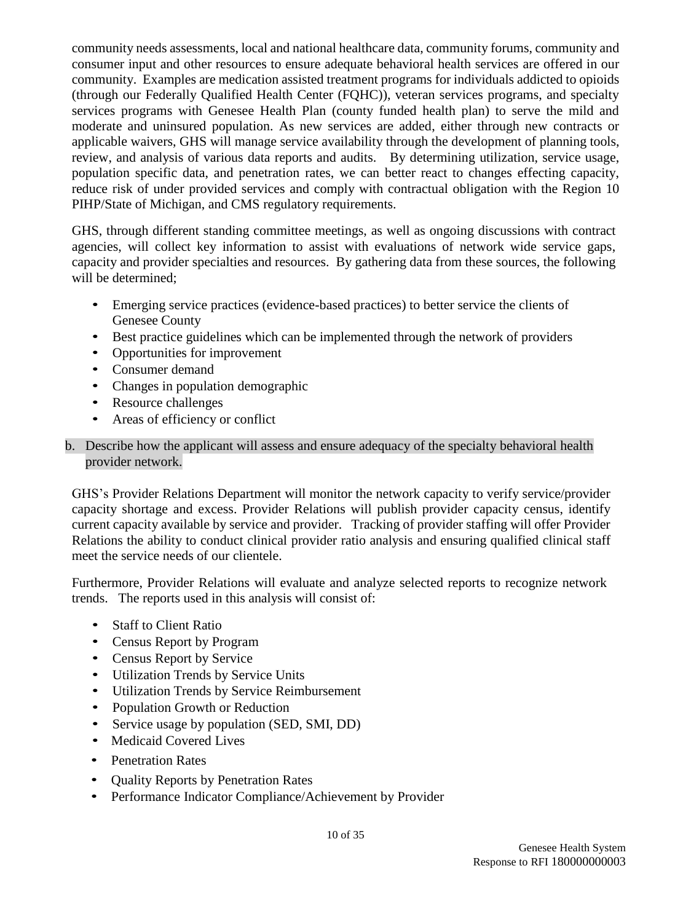community needs assessments, local and national healthcare data, community forums, community and consumer input and other resources to ensure adequate behavioral health services are offered in our community. Examples are medication assisted treatment programs for individuals addicted to opioids (through our Federally Qualified Health Center (FQHC)), veteran services programs, and specialty services programs with Genesee Health Plan (county funded health plan) to serve the mild and moderate and uninsured population. As new services are added, either through new contracts or applicable waivers, GHS will manage service availability through the development of planning tools, review, and analysis of various data reports and audits. By determining utilization, service usage, population specific data, and penetration rates, we can better react to changes effecting capacity, reduce risk of under provided services and comply with contractual obligation with the Region 10 PIHP/State of Michigan, and CMS regulatory requirements.

GHS, through different standing committee meetings, as well as ongoing discussions with contract agencies, will collect key information to assist with evaluations of network wide service gaps, capacity and provider specialties and resources. By gathering data from these sources, the following will be determined;

- Emerging service practices (evidence-based practices) to better service the clients of Genesee County
- Best practice guidelines which can be implemented through the network of providers
- Opportunities for improvement
- Consumer demand
- Changes in population demographic
- Resource challenges
- Areas of efficiency or conflict

### b. Describe how the applicant will assess and ensure adequacy of the specialty behavioral health provider network.

GHS's Provider Relations Department will monitor the network capacity to verify service/provider capacity shortage and excess. Provider Relations will publish provider capacity census, identify current capacity available by service and provider. Tracking of provider staffing will offer Provider Relations the ability to conduct clinical provider ratio analysis and ensuring qualified clinical staff meet the service needs of our clientele.

Furthermore, Provider Relations will evaluate and analyze selected reports to recognize network trends. The reports used in this analysis will consist of:

- Staff to Client Ratio
- Census Report by Program
- Census Report by Service
- Utilization Trends by Service Units
- Utilization Trends by Service Reimbursement
- Population Growth or Reduction
- Service usage by population (SED, SMI, DD)
- Medicaid Covered Lives
- Penetration Rates
- Quality Reports by Penetration Rates
- Performance Indicator Compliance/Achievement by Provider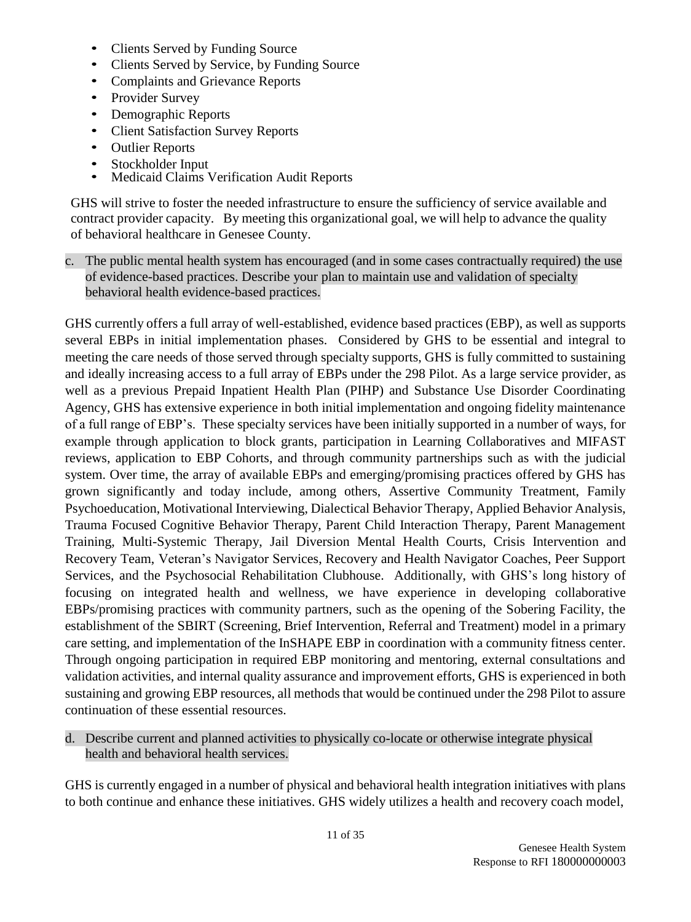- Clients Served by Funding Source
- Clients Served by Service, by Funding Source
- Complaints and Grievance Reports
- Provider Survey
- Demographic Reports
- Client Satisfaction Survey Reports
- Outlier Reports
- Stockholder Input
- Medicaid Claims Verification Audit Reports

GHS will strive to foster the needed infrastructure to ensure the sufficiency of service available and contract provider capacity. By meeting this organizational goal, we will help to advance the quality of behavioral healthcare in Genesee County.

c. The public mental health system has encouraged (and in some cases contractually required) the use of evidence-based practices. Describe your plan to maintain use and validation of specialty behavioral health evidence-based practices.

GHS currently offers a full array of well-established, evidence based practices (EBP), as well as supports several EBPs in initial implementation phases. Considered by GHS to be essential and integral to meeting the care needs of those served through specialty supports, GHS is fully committed to sustaining and ideally increasing access to a full array of EBPs under the 298 Pilot. As a large service provider, as well as a previous Prepaid Inpatient Health Plan (PIHP) and Substance Use Disorder Coordinating Agency, GHS has extensive experience in both initial implementation and ongoing fidelity maintenance of a full range of EBP's. These specialty services have been initially supported in a number of ways, for example through application to block grants, participation in Learning Collaboratives and MIFAST reviews, application to EBP Cohorts, and through community partnerships such as with the judicial system. Over time, the array of available EBPs and emerging/promising practices offered by GHS has grown significantly and today include, among others, Assertive Community Treatment, Family Psychoeducation, Motivational Interviewing, Dialectical Behavior Therapy, Applied Behavior Analysis, Trauma Focused Cognitive Behavior Therapy, Parent Child Interaction Therapy, Parent Management Training, Multi-Systemic Therapy, Jail Diversion Mental Health Courts, Crisis Intervention and Recovery Team, Veteran's Navigator Services, Recovery and Health Navigator Coaches, Peer Support Services, and the Psychosocial Rehabilitation Clubhouse. Additionally, with GHS's long history of focusing on integrated health and wellness, we have experience in developing collaborative EBPs/promising practices with community partners, such as the opening of the Sobering Facility, the establishment of the SBIRT (Screening, Brief Intervention, Referral and Treatment) model in a primary care setting, and implementation of the InSHAPE EBP in coordination with a community fitness center. Through ongoing participation in required EBP monitoring and mentoring, external consultations and validation activities, and internal quality assurance and improvement efforts, GHS is experienced in both sustaining and growing EBP resources, all methods that would be continued under the 298 Pilot to assure continuation of these essential resources.

d. Describe current and planned activities to physically co-locate or otherwise integrate physical health and behavioral health services.

GHS is currently engaged in a number of physical and behavioral health integration initiatives with plans to both continue and enhance these initiatives. GHS widely utilizes a health and recovery coach model,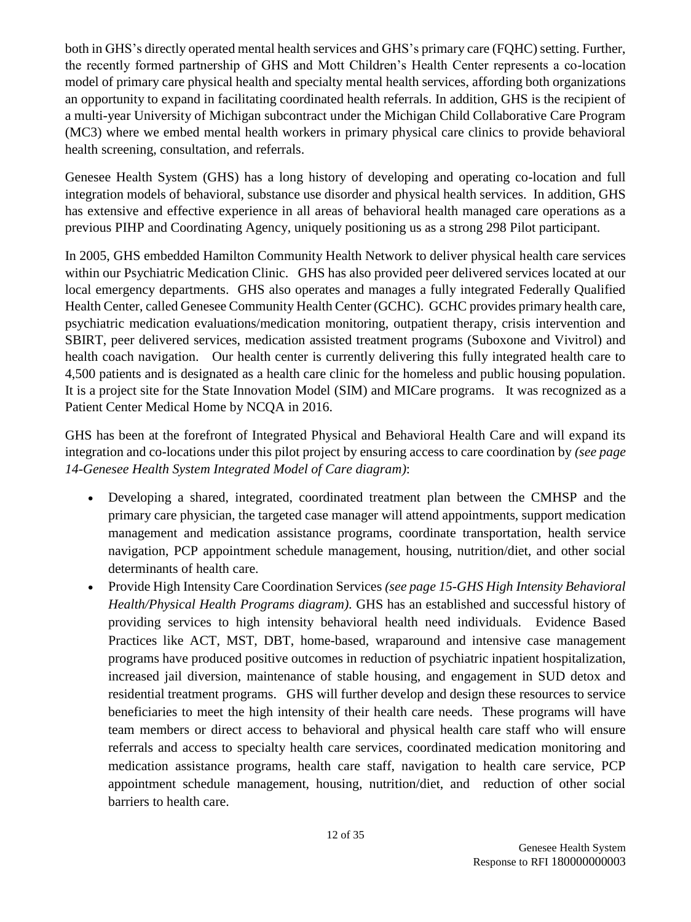both in GHS's directly operated mental health services and GHS's primary care (FQHC) setting. Further, the recently formed partnership of GHS and Mott Children's Health Center represents a co-location model of primary care physical health and specialty mental health services, affording both organizations an opportunity to expand in facilitating coordinated health referrals. In addition, GHS is the recipient of a multi-year University of Michigan subcontract under the Michigan Child Collaborative Care Program (MC3) where we embed mental health workers in primary physical care clinics to provide behavioral health screening, consultation, and referrals.

Genesee Health System (GHS) has a long history of developing and operating co-location and full integration models of behavioral, substance use disorder and physical health services. In addition, GHS has extensive and effective experience in all areas of behavioral health managed care operations as a previous PIHP and Coordinating Agency, uniquely positioning us as a strong 298 Pilot participant.

In 2005, GHS embedded Hamilton Community Health Network to deliver physical health care services within our Psychiatric Medication Clinic. GHS has also provided peer delivered services located at our local emergency departments. GHS also operates and manages a fully integrated Federally Qualified Health Center, called Genesee Community Health Center (GCHC). GCHC provides primary health care, psychiatric medication evaluations/medication monitoring, outpatient therapy, crisis intervention and SBIRT, peer delivered services, medication assisted treatment programs (Suboxone and Vivitrol) and health coach navigation. Our health center is currently delivering this fully integrated health care to 4,500 patients and is designated as a health care clinic for the homeless and public housing population. It is a project site for the State Innovation Model (SIM) and MICare programs. It was recognized as a Patient Center Medical Home by NCQA in 2016.

GHS has been at the forefront of Integrated Physical and Behavioral Health Care and will expand its integration and co-locations under this pilot project by ensuring access to care coordination by *(see page 14-Genesee Health System Integrated Model of Care diagram)*:

- Developing a shared, integrated, coordinated treatment plan between the CMHSP and the primary care physician, the targeted case manager will attend appointments, support medication management and medication assistance programs, coordinate transportation, health service navigation, PCP appointment schedule management, housing, nutrition/diet, and other social determinants of health care.
- Provide High Intensity Care Coordination Services *(see page 15-GHS High Intensity Behavioral Health/Physical Health Programs diagram)*. GHS has an established and successful history of providing services to high intensity behavioral health need individuals. Evidence Based Practices like ACT, MST, DBT, home-based, wraparound and intensive case management programs have produced positive outcomes in reduction of psychiatric inpatient hospitalization, increased jail diversion, maintenance of stable housing, and engagement in SUD detox and residential treatment programs. GHS will further develop and design these resources to service beneficiaries to meet the high intensity of their health care needs. These programs will have team members or direct access to behavioral and physical health care staff who will ensure referrals and access to specialty health care services, coordinated medication monitoring and medication assistance programs, health care staff, navigation to health care service, PCP appointment schedule management, housing, nutrition/diet, and reduction of other social barriers to health care.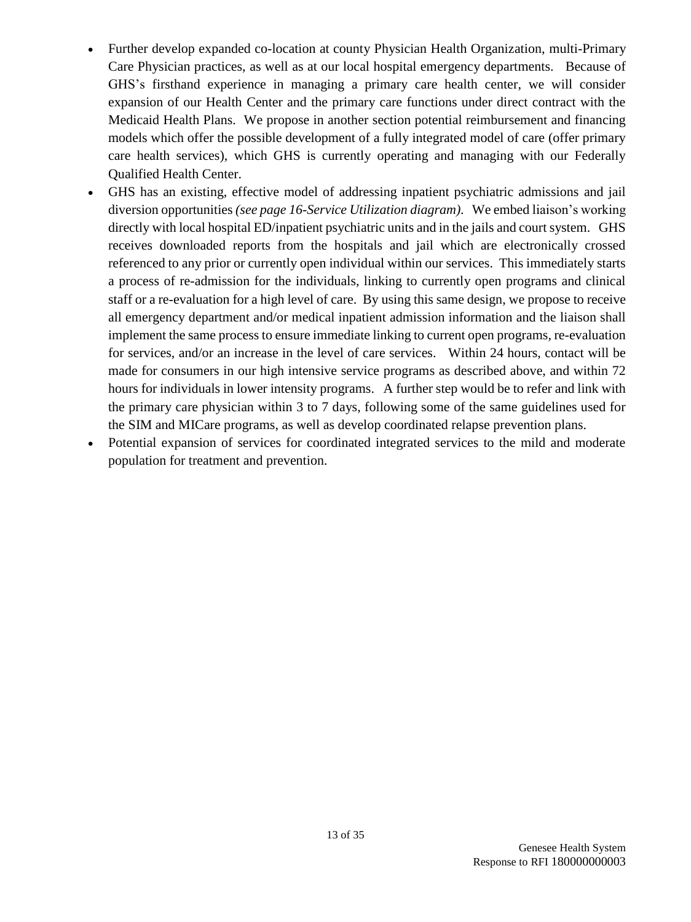- Further develop expanded co-location at county Physician Health Organization, multi-Primary Care Physician practices, as well as at our local hospital emergency departments. Because of GHS's firsthand experience in managing a primary care health center, we will consider expansion of our Health Center and the primary care functions under direct contract with the Medicaid Health Plans. We propose in another section potential reimbursement and financing models which offer the possible development of a fully integrated model of care (offer primary care health services), which GHS is currently operating and managing with our Federally Qualified Health Center.
- GHS has an existing, effective model of addressing inpatient psychiatric admissions and jail diversion opportunities *(see page 16-Service Utilization diagram)*. We embed liaison's working directly with local hospital ED/inpatient psychiatric units and in the jails and court system. GHS receives downloaded reports from the hospitals and jail which are electronically crossed referenced to any prior or currently open individual within our services. This immediately starts a process of re-admission for the individuals, linking to currently open programs and clinical staff or a re-evaluation for a high level of care. By using this same design, we propose to receive all emergency department and/or medical inpatient admission information and the liaison shall implement the same process to ensure immediate linking to current open programs, re-evaluation for services, and/or an increase in the level of care services. Within 24 hours, contact will be made for consumers in our high intensive service programs as described above, and within 72 hours for individuals in lower intensity programs. A further step would be to refer and link with the primary care physician within 3 to 7 days, following some of the same guidelines used for the SIM and MICare programs, as well as develop coordinated relapse prevention plans.
- Potential expansion of services for coordinated integrated services to the mild and moderate population for treatment and prevention.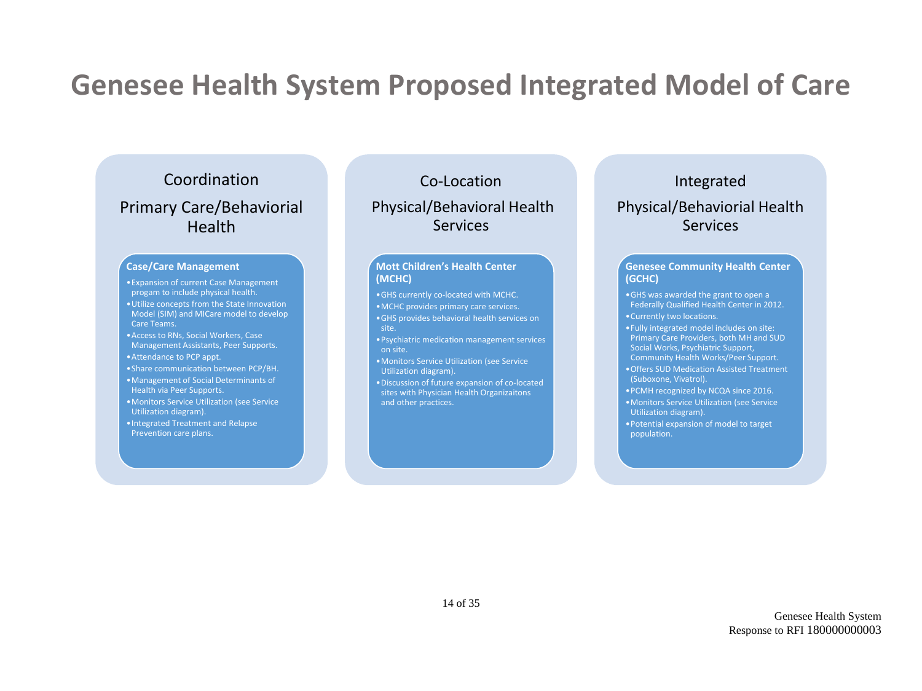# **Genesee Health System Proposed Integrated Model of Care**

### Coordination Primary Care/Behaviorial Health

#### **Case/Care Management**

- •Expansion of current Case Management progam to include physical health.
- •Utilize concepts from the State Innovation Model (SIM) and MICare model to develop Care Teams.
- •Access to RNs, Social Workers, Case Management Assistants, Peer Supports.
- •Attendance to PCP appt.
- •Share communication between PCP/BH.
- •Management of Social Determinants of Health via Peer Supports.
- •Monitors Service Utilization (see Service Utilization diagram).
- •Integrated Treatment and Relapse Prevention care plans.

### Co-Location Physical/Behavioral Health Services

#### **Mott Children's Health Center (MCHC)**

- •GHS currently co-located with MCHC.
- •MCHC provides primary care services.
- •GHS provides behavioral health services on
- 
- •Psychiatric medication management services on site.
- •Monitors Service Utilization (see Service Utilization diagram).
- •Discussion of future expansion of co-located sites with Physician Health Organizaitons and other practices.

## Integrated

### Physical/Behaviorial Health Services

#### **Genesee Community Health Center (GCHC)**

- •GHS was awarded the grant to open a Federally Qualified Health Center in 2012. •Currently two locations.
- •Fully integrated model includes on site: Primary Care Providers, both MH and SUD Social Works, Psychiatric Support, Community Health Works/Peer Support.
- •Offers SUD Medication Assisted Treatment (Suboxone, Vivatrol).
- •PCMH recognized by NCQA since 2016.
- •Monitors Service Utilization (see Service Utilization diagram).
- •Potential expansion of model to target population.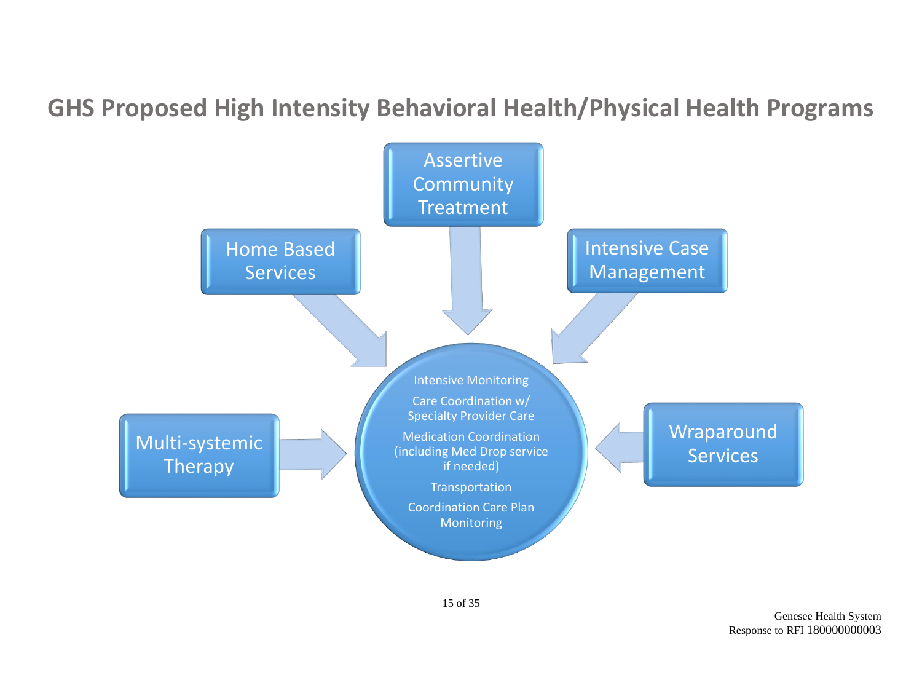## **GHS Proposed High Intensity Behavioral Health/Physical Health Programs**

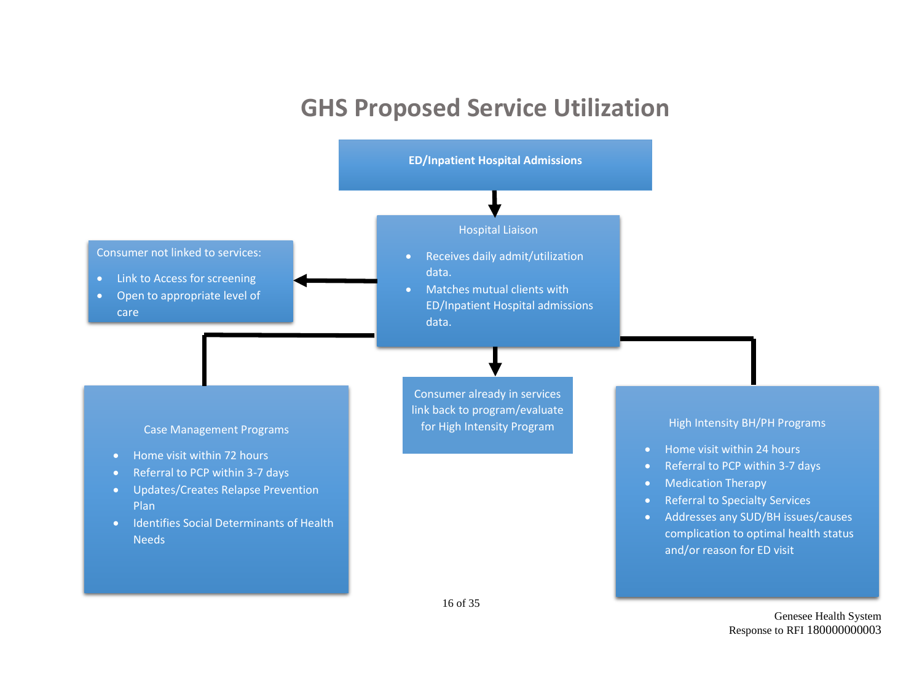## **GHS Proposed Service Utilization**



Genesee Health System Response to RFI 180000000003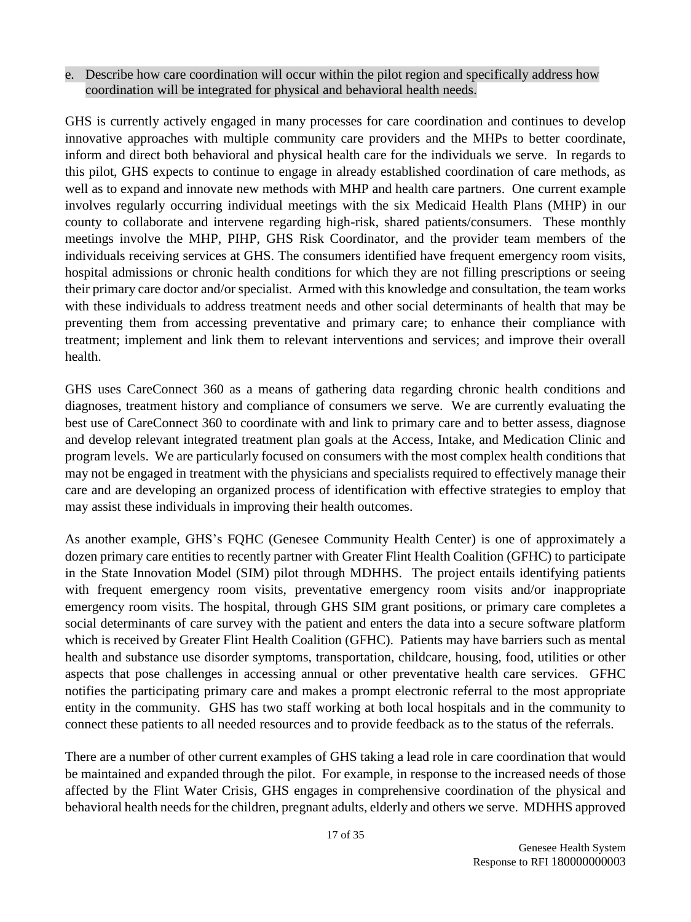e. Describe how care coordination will occur within the pilot region and specifically address how coordination will be integrated for physical and behavioral health needs.

GHS is currently actively engaged in many processes for care coordination and continues to develop innovative approaches with multiple community care providers and the MHPs to better coordinate, inform and direct both behavioral and physical health care for the individuals we serve. In regards to this pilot, GHS expects to continue to engage in already established coordination of care methods, as well as to expand and innovate new methods with MHP and health care partners. One current example involves regularly occurring individual meetings with the six Medicaid Health Plans (MHP) in our county to collaborate and intervene regarding high-risk, shared patients/consumers. These monthly meetings involve the MHP, PIHP, GHS Risk Coordinator, and the provider team members of the individuals receiving services at GHS. The consumers identified have frequent emergency room visits, hospital admissions or chronic health conditions for which they are not filling prescriptions or seeing their primary care doctor and/or specialist. Armed with this knowledge and consultation, the team works with these individuals to address treatment needs and other social determinants of health that may be preventing them from accessing preventative and primary care; to enhance their compliance with treatment; implement and link them to relevant interventions and services; and improve their overall health.

GHS uses CareConnect 360 as a means of gathering data regarding chronic health conditions and diagnoses, treatment history and compliance of consumers we serve. We are currently evaluating the best use of CareConnect 360 to coordinate with and link to primary care and to better assess, diagnose and develop relevant integrated treatment plan goals at the Access, Intake, and Medication Clinic and program levels. We are particularly focused on consumers with the most complex health conditions that may not be engaged in treatment with the physicians and specialists required to effectively manage their care and are developing an organized process of identification with effective strategies to employ that may assist these individuals in improving their health outcomes.

As another example, GHS's FQHC (Genesee Community Health Center) is one of approximately a dozen primary care entities to recently partner with Greater Flint Health Coalition (GFHC) to participate in the State Innovation Model (SIM) pilot through MDHHS. The project entails identifying patients with frequent emergency room visits, preventative emergency room visits and/or inappropriate emergency room visits. The hospital, through GHS SIM grant positions, or primary care completes a social determinants of care survey with the patient and enters the data into a secure software platform which is received by Greater Flint Health Coalition (GFHC). Patients may have barriers such as mental health and substance use disorder symptoms, transportation, childcare, housing, food, utilities or other aspects that pose challenges in accessing annual or other preventative health care services. GFHC notifies the participating primary care and makes a prompt electronic referral to the most appropriate entity in the community. GHS has two staff working at both local hospitals and in the community to connect these patients to all needed resources and to provide feedback as to the status of the referrals.

There are a number of other current examples of GHS taking a lead role in care coordination that would be maintained and expanded through the pilot. For example, in response to the increased needs of those affected by the Flint Water Crisis, GHS engages in comprehensive coordination of the physical and behavioral health needs for the children, pregnant adults, elderly and others we serve. MDHHS approved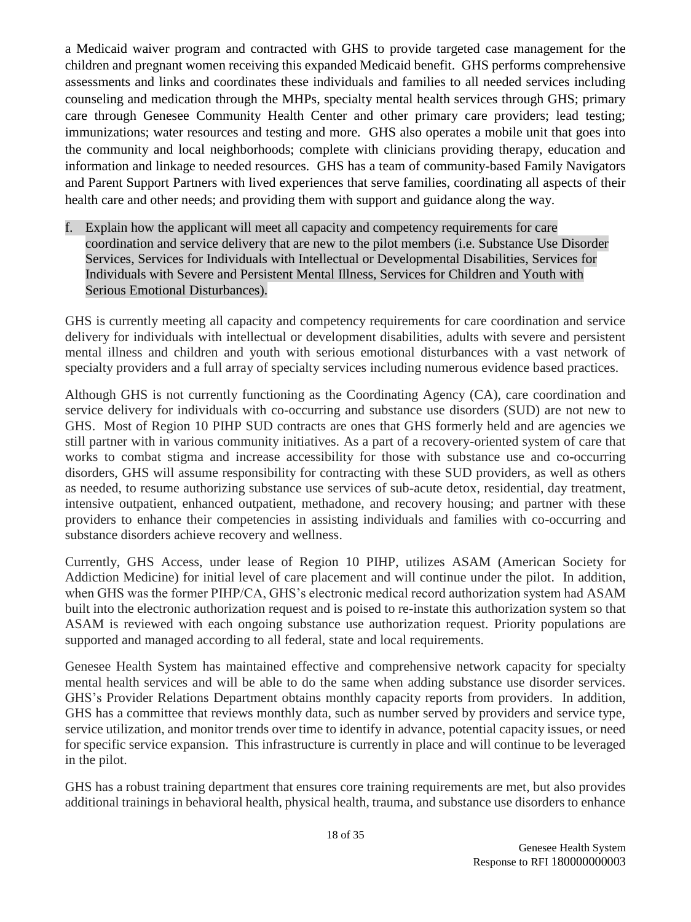a Medicaid waiver program and contracted with GHS to provide targeted case management for the children and pregnant women receiving this expanded Medicaid benefit. GHS performs comprehensive assessments and links and coordinates these individuals and families to all needed services including counseling and medication through the MHPs, specialty mental health services through GHS; primary care through Genesee Community Health Center and other primary care providers; lead testing; immunizations; water resources and testing and more. GHS also operates a mobile unit that goes into the community and local neighborhoods; complete with clinicians providing therapy, education and information and linkage to needed resources. GHS has a team of community-based Family Navigators and Parent Support Partners with lived experiences that serve families, coordinating all aspects of their health care and other needs; and providing them with support and guidance along the way.

f. Explain how the applicant will meet all capacity and competency requirements for care coordination and service delivery that are new to the pilot members (i.e. Substance Use Disorder Services, Services for Individuals with Intellectual or Developmental Disabilities, Services for Individuals with Severe and Persistent Mental Illness, Services for Children and Youth with Serious Emotional Disturbances).

GHS is currently meeting all capacity and competency requirements for care coordination and service delivery for individuals with intellectual or development disabilities, adults with severe and persistent mental illness and children and youth with serious emotional disturbances with a vast network of specialty providers and a full array of specialty services including numerous evidence based practices.

Although GHS is not currently functioning as the Coordinating Agency (CA), care coordination and service delivery for individuals with co-occurring and substance use disorders (SUD) are not new to GHS. Most of Region 10 PIHP SUD contracts are ones that GHS formerly held and are agencies we still partner with in various community initiatives. As a part of a recovery-oriented system of care that works to combat stigma and increase accessibility for those with substance use and co-occurring disorders, GHS will assume responsibility for contracting with these SUD providers, as well as others as needed, to resume authorizing substance use services of sub-acute detox, residential, day treatment, intensive outpatient, enhanced outpatient, methadone, and recovery housing; and partner with these providers to enhance their competencies in assisting individuals and families with co-occurring and substance disorders achieve recovery and wellness.

Currently, GHS Access, under lease of Region 10 PIHP, utilizes ASAM (American Society for Addiction Medicine) for initial level of care placement and will continue under the pilot. In addition, when GHS was the former PIHP/CA, GHS's electronic medical record authorization system had ASAM built into the electronic authorization request and is poised to re-instate this authorization system so that ASAM is reviewed with each ongoing substance use authorization request. Priority populations are supported and managed according to all federal, state and local requirements.

Genesee Health System has maintained effective and comprehensive network capacity for specialty mental health services and will be able to do the same when adding substance use disorder services. GHS's Provider Relations Department obtains monthly capacity reports from providers. In addition, GHS has a committee that reviews monthly data, such as number served by providers and service type, service utilization, and monitor trends over time to identify in advance, potential capacity issues, or need for specific service expansion. This infrastructure is currently in place and will continue to be leveraged in the pilot.

GHS has a robust training department that ensures core training requirements are met, but also provides additional trainings in behavioral health, physical health, trauma, and substance use disorders to enhance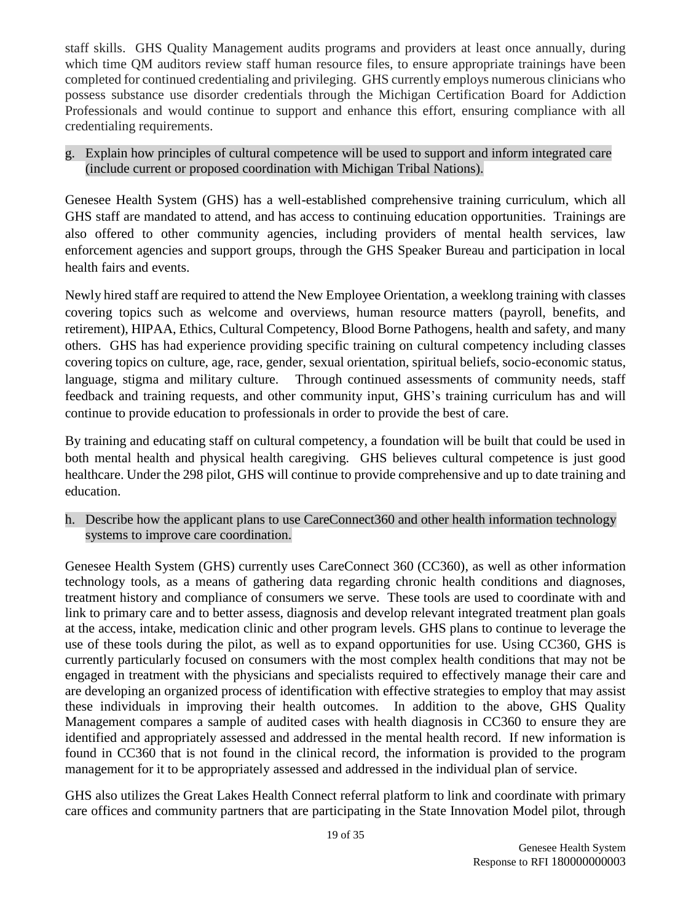staff skills. GHS Quality Management audits programs and providers at least once annually, during which time OM auditors review staff human resource files, to ensure appropriate trainings have been completed for continued credentialing and privileging. GHS currently employs numerous clinicians who possess substance use disorder credentials through the Michigan Certification Board for Addiction Professionals and would continue to support and enhance this effort, ensuring compliance with all credentialing requirements.

#### g. Explain how principles of cultural competence will be used to support and inform integrated care (include current or proposed coordination with Michigan Tribal Nations).

Genesee Health System (GHS) has a well-established comprehensive training curriculum, which all GHS staff are mandated to attend, and has access to continuing education opportunities. Trainings are also offered to other community agencies, including providers of mental health services, law enforcement agencies and support groups, through the GHS Speaker Bureau and participation in local health fairs and events.

Newly hired staff are required to attend the New Employee Orientation, a weeklong training with classes covering topics such as welcome and overviews, human resource matters (payroll, benefits, and retirement), HIPAA, Ethics, Cultural Competency, Blood Borne Pathogens, health and safety, and many others. GHS has had experience providing specific training on cultural competency including classes covering topics on culture, age, race, gender, sexual orientation, spiritual beliefs, socio-economic status, language, stigma and military culture. Through continued assessments of community needs, staff feedback and training requests, and other community input, GHS's training curriculum has and will continue to provide education to professionals in order to provide the best of care.

By training and educating staff on cultural competency, a foundation will be built that could be used in both mental health and physical health caregiving. GHS believes cultural competence is just good healthcare. Under the 298 pilot, GHS will continue to provide comprehensive and up to date training and education.

h. Describe how the applicant plans to use CareConnect360 and other health information technology systems to improve care coordination.

Genesee Health System (GHS) currently uses CareConnect 360 (CC360), as well as other information technology tools, as a means of gathering data regarding chronic health conditions and diagnoses, treatment history and compliance of consumers we serve. These tools are used to coordinate with and link to primary care and to better assess, diagnosis and develop relevant integrated treatment plan goals at the access, intake, medication clinic and other program levels. GHS plans to continue to leverage the use of these tools during the pilot, as well as to expand opportunities for use. Using CC360, GHS is currently particularly focused on consumers with the most complex health conditions that may not be engaged in treatment with the physicians and specialists required to effectively manage their care and are developing an organized process of identification with effective strategies to employ that may assist these individuals in improving their health outcomes. In addition to the above, GHS Quality Management compares a sample of audited cases with health diagnosis in CC360 to ensure they are identified and appropriately assessed and addressed in the mental health record. If new information is found in CC360 that is not found in the clinical record, the information is provided to the program management for it to be appropriately assessed and addressed in the individual plan of service.

GHS also utilizes the Great Lakes Health Connect referral platform to link and coordinate with primary care offices and community partners that are participating in the State Innovation Model pilot, through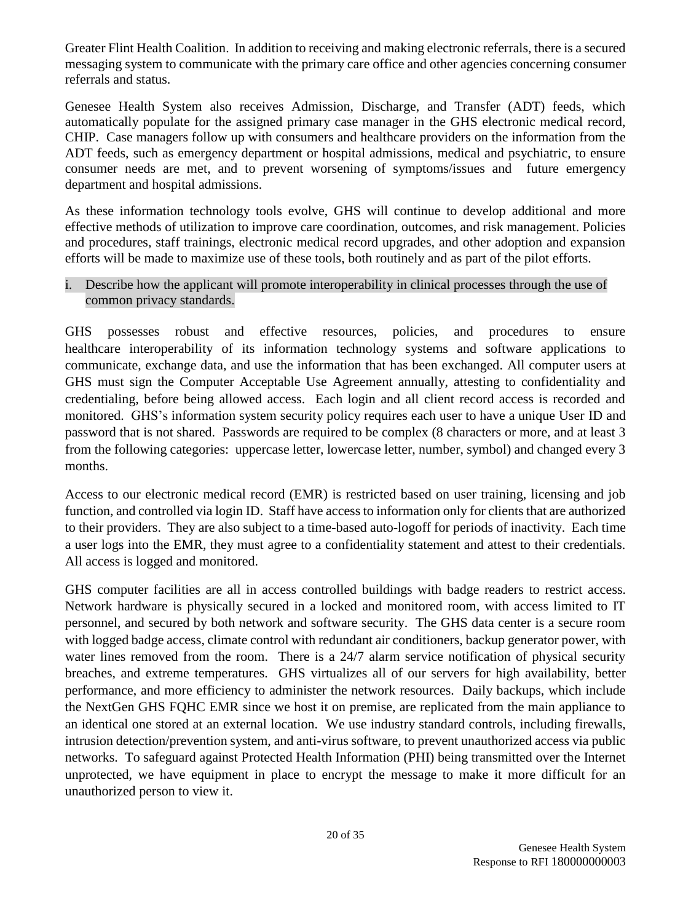Greater Flint Health Coalition. In addition to receiving and making electronic referrals, there is a secured messaging system to communicate with the primary care office and other agencies concerning consumer referrals and status.

Genesee Health System also receives Admission, Discharge, and Transfer (ADT) feeds, which automatically populate for the assigned primary case manager in the GHS electronic medical record, CHIP. Case managers follow up with consumers and healthcare providers on the information from the ADT feeds, such as emergency department or hospital admissions, medical and psychiatric, to ensure consumer needs are met, and to prevent worsening of symptoms/issues and future emergency department and hospital admissions.

As these information technology tools evolve, GHS will continue to develop additional and more effective methods of utilization to improve care coordination, outcomes, and risk management. Policies and procedures, staff trainings, electronic medical record upgrades, and other adoption and expansion efforts will be made to maximize use of these tools, both routinely and as part of the pilot efforts.

#### i. Describe how the applicant will promote interoperability in clinical processes through the use of common privacy standards.

GHS possesses robust and effective resources, policies, and procedures to ensure healthcare interoperability of its information technology systems and software applications to communicate, exchange data, and use the information that has been exchanged. All computer users at GHS must sign the Computer Acceptable Use Agreement annually, attesting to confidentiality and credentialing, before being allowed access. Each login and all client record access is recorded and monitored. GHS's information system security policy requires each user to have a unique User ID and password that is not shared. Passwords are required to be complex (8 characters or more, and at least 3 from the following categories: uppercase letter, lowercase letter, number, symbol) and changed every 3 months.

Access to our electronic medical record (EMR) is restricted based on user training, licensing and job function, and controlled via login ID. Staff have access to information only for clients that are authorized to their providers. They are also subject to a time-based auto-logoff for periods of inactivity. Each time a user logs into the EMR, they must agree to a confidentiality statement and attest to their credentials. All access is logged and monitored.

GHS computer facilities are all in access controlled buildings with badge readers to restrict access. Network hardware is physically secured in a locked and monitored room, with access limited to IT personnel, and secured by both network and software security. The GHS data center is a secure room with logged badge access, climate control with redundant air conditioners, backup generator power, with water lines removed from the room. There is a 24/7 alarm service notification of physical security breaches, and extreme temperatures. GHS virtualizes all of our servers for high availability, better performance, and more efficiency to administer the network resources. Daily backups, which include the NextGen GHS FQHC EMR since we host it on premise, are replicated from the main appliance to an identical one stored at an external location. We use industry standard controls, including firewalls, intrusion detection/prevention system, and anti-virus software, to prevent unauthorized access via public networks. To safeguard against Protected Health Information (PHI) being transmitted over the Internet unprotected, we have equipment in place to encrypt the message to make it more difficult for an unauthorized person to view it.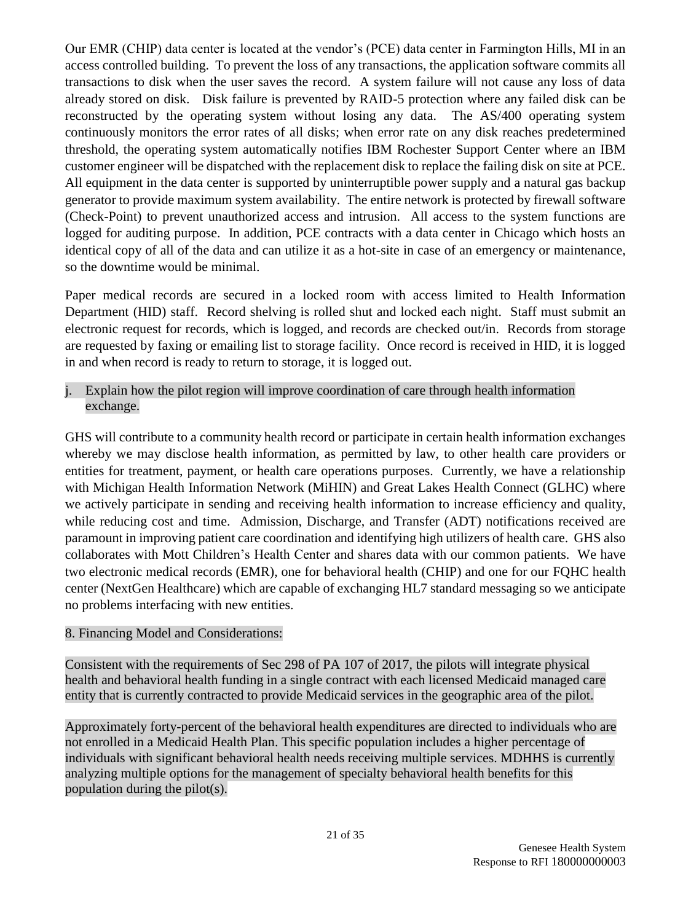Our EMR (CHIP) data center is located at the vendor's (PCE) data center in Farmington Hills, MI in an access controlled building. To prevent the loss of any transactions, the application software commits all transactions to disk when the user saves the record. A system failure will not cause any loss of data already stored on disk. Disk failure is prevented by RAID-5 protection where any failed disk can be reconstructed by the operating system without losing any data. The AS/400 operating system continuously monitors the error rates of all disks; when error rate on any disk reaches predetermined threshold, the operating system automatically notifies IBM Rochester Support Center where an IBM customer engineer will be dispatched with the replacement disk to replace the failing disk on site at PCE. All equipment in the data center is supported by uninterruptible power supply and a natural gas backup generator to provide maximum system availability. The entire network is protected by firewall software (Check-Point) to prevent unauthorized access and intrusion. All access to the system functions are logged for auditing purpose. In addition, PCE contracts with a data center in Chicago which hosts an identical copy of all of the data and can utilize it as a hot-site in case of an emergency or maintenance, so the downtime would be minimal.

Paper medical records are secured in a locked room with access limited to Health Information Department (HID) staff. Record shelving is rolled shut and locked each night. Staff must submit an electronic request for records, which is logged, and records are checked out/in. Records from storage are requested by faxing or emailing list to storage facility. Once record is received in HID, it is logged in and when record is ready to return to storage, it is logged out.

j. Explain how the pilot region will improve coordination of care through health information exchange.

GHS will contribute to a community health record or participate in certain health information exchanges whereby we may disclose health information, as permitted by law, to other health care providers or entities for treatment, payment, or health care operations purposes. Currently, we have a relationship with Michigan Health Information Network (MiHIN) and Great Lakes Health Connect (GLHC) where we actively participate in sending and receiving health information to increase efficiency and quality, while reducing cost and time. Admission, Discharge, and Transfer (ADT) notifications received are paramount in improving patient care coordination and identifying high utilizers of health care. GHS also collaborates with Mott Children's Health Center and shares data with our common patients. We have two electronic medical records (EMR), one for behavioral health (CHIP) and one for our FQHC health center (NextGen Healthcare) which are capable of exchanging HL7 standard messaging so we anticipate no problems interfacing with new entities.

### 8. Financing Model and Considerations:

Consistent with the requirements of Sec 298 of PA 107 of 2017, the pilots will integrate physical health and behavioral health funding in a single contract with each licensed Medicaid managed care entity that is currently contracted to provide Medicaid services in the geographic area of the pilot.

Approximately forty-percent of the behavioral health expenditures are directed to individuals who are not enrolled in a Medicaid Health Plan. This specific population includes a higher percentage of individuals with significant behavioral health needs receiving multiple services. MDHHS is currently analyzing multiple options for the management of specialty behavioral health benefits for this population during the pilot(s).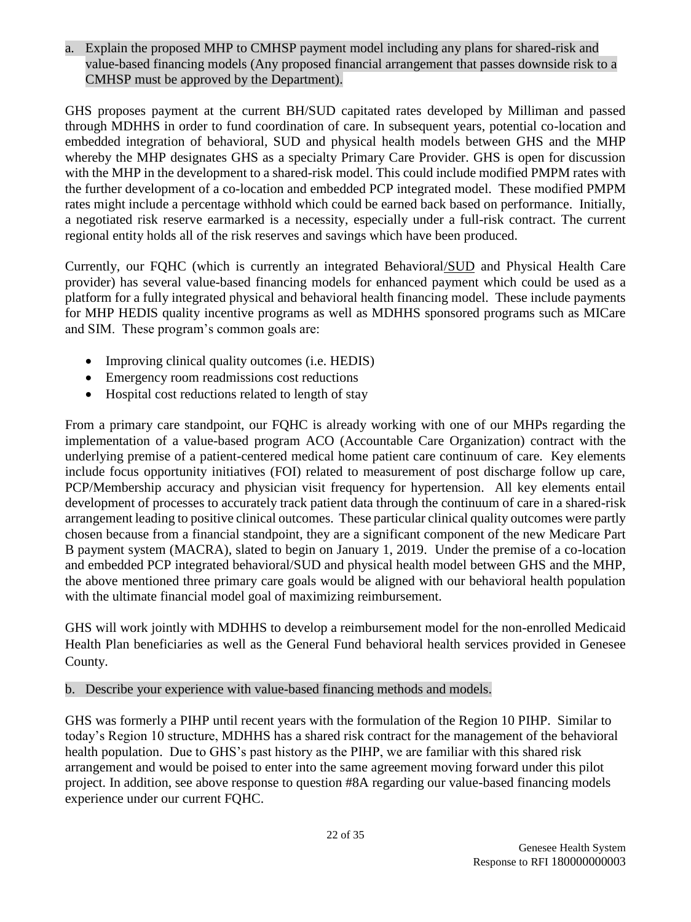a. Explain the proposed MHP to CMHSP payment model including any plans for shared-risk and value-based financing models (Any proposed financial arrangement that passes downside risk to a CMHSP must be approved by the Department).

GHS proposes payment at the current BH/SUD capitated rates developed by Milliman and passed through MDHHS in order to fund coordination of care. In subsequent years, potential co-location and embedded integration of behavioral, SUD and physical health models between GHS and the MHP whereby the MHP designates GHS as a specialty Primary Care Provider. GHS is open for discussion with the MHP in the development to a shared-risk model. This could include modified PMPM rates with the further development of a co-location and embedded PCP integrated model. These modified PMPM rates might include a percentage withhold which could be earned back based on performance. Initially, a negotiated risk reserve earmarked is a necessity, especially under a full-risk contract. The current regional entity holds all of the risk reserves and savings which have been produced.

Currently, our FQHC (which is currently an integrated Behavioral/SUD and Physical Health Care provider) has several value-based financing models for enhanced payment which could be used as a platform for a fully integrated physical and behavioral health financing model. These include payments for MHP HEDIS quality incentive programs as well as MDHHS sponsored programs such as MICare and SIM. These program's common goals are:

- Improving clinical quality outcomes (i.e. HEDIS)
- Emergency room readmissions cost reductions
- Hospital cost reductions related to length of stay

From a primary care standpoint, our FQHC is already working with one of our MHPs regarding the implementation of a value-based program ACO (Accountable Care Organization) contract with the underlying premise of a patient-centered medical home patient care continuum of care. Key elements include focus opportunity initiatives (FOI) related to measurement of post discharge follow up care, PCP/Membership accuracy and physician visit frequency for hypertension. All key elements entail development of processes to accurately track patient data through the continuum of care in a shared-risk arrangement leading to positive clinical outcomes. These particular clinical quality outcomes were partly chosen because from a financial standpoint, they are a significant component of the new Medicare Part B payment system (MACRA), slated to begin on January 1, 2019. Under the premise of a co-location and embedded PCP integrated behavioral/SUD and physical health model between GHS and the MHP, the above mentioned three primary care goals would be aligned with our behavioral health population with the ultimate financial model goal of maximizing reimbursement.

GHS will work jointly with MDHHS to develop a reimbursement model for the non-enrolled Medicaid Health Plan beneficiaries as well as the General Fund behavioral health services provided in Genesee County.

b. Describe your experience with value-based financing methods and models.

GHS was formerly a PIHP until recent years with the formulation of the Region 10 PIHP. Similar to today's Region 10 structure, MDHHS has a shared risk contract for the management of the behavioral health population. Due to GHS's past history as the PIHP, we are familiar with this shared risk arrangement and would be poised to enter into the same agreement moving forward under this pilot project. In addition, see above response to question #8A regarding our value-based financing models experience under our current FQHC.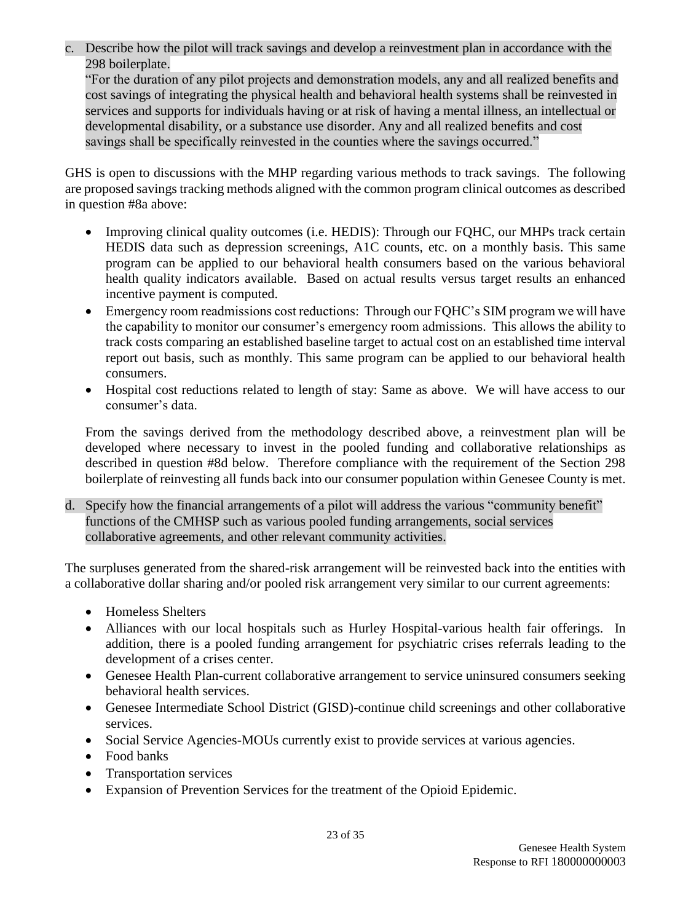c. Describe how the pilot will track savings and develop a reinvestment plan in accordance with the 298 boilerplate.

"For the duration of any pilot projects and demonstration models, any and all realized benefits and cost savings of integrating the physical health and behavioral health systems shall be reinvested in services and supports for individuals having or at risk of having a mental illness, an intellectual or developmental disability, or a substance use disorder. Any and all realized benefits and cost savings shall be specifically reinvested in the counties where the savings occurred."

GHS is open to discussions with the MHP regarding various methods to track savings. The following are proposed savings tracking methods aligned with the common program clinical outcomes as described in question #8a above:

- Improving clinical quality outcomes (i.e. HEDIS): Through our FQHC, our MHPs track certain HEDIS data such as depression screenings, A1C counts, etc. on a monthly basis. This same program can be applied to our behavioral health consumers based on the various behavioral health quality indicators available. Based on actual results versus target results an enhanced incentive payment is computed.
- Emergency room readmissions cost reductions: Through our FQHC's SIM program we will have the capability to monitor our consumer's emergency room admissions. This allows the ability to track costs comparing an established baseline target to actual cost on an established time interval report out basis, such as monthly. This same program can be applied to our behavioral health consumers.
- Hospital cost reductions related to length of stay: Same as above. We will have access to our consumer's data.

From the savings derived from the methodology described above, a reinvestment plan will be developed where necessary to invest in the pooled funding and collaborative relationships as described in question #8d below. Therefore compliance with the requirement of the Section 298 boilerplate of reinvesting all funds back into our consumer population within Genesee County is met.

d. Specify how the financial arrangements of a pilot will address the various "community benefit" functions of the CMHSP such as various pooled funding arrangements, social services collaborative agreements, and other relevant community activities.

The surpluses generated from the shared-risk arrangement will be reinvested back into the entities with a collaborative dollar sharing and/or pooled risk arrangement very similar to our current agreements:

- Homeless Shelters
- Alliances with our local hospitals such as Hurley Hospital-various health fair offerings. In addition, there is a pooled funding arrangement for psychiatric crises referrals leading to the development of a crises center.
- Genesee Health Plan-current collaborative arrangement to service uninsured consumers seeking behavioral health services.
- Genesee Intermediate School District (GISD)-continue child screenings and other collaborative services.
- Social Service Agencies-MOUs currently exist to provide services at various agencies.
- Food banks
- Transportation services
- Expansion of Prevention Services for the treatment of the Opioid Epidemic.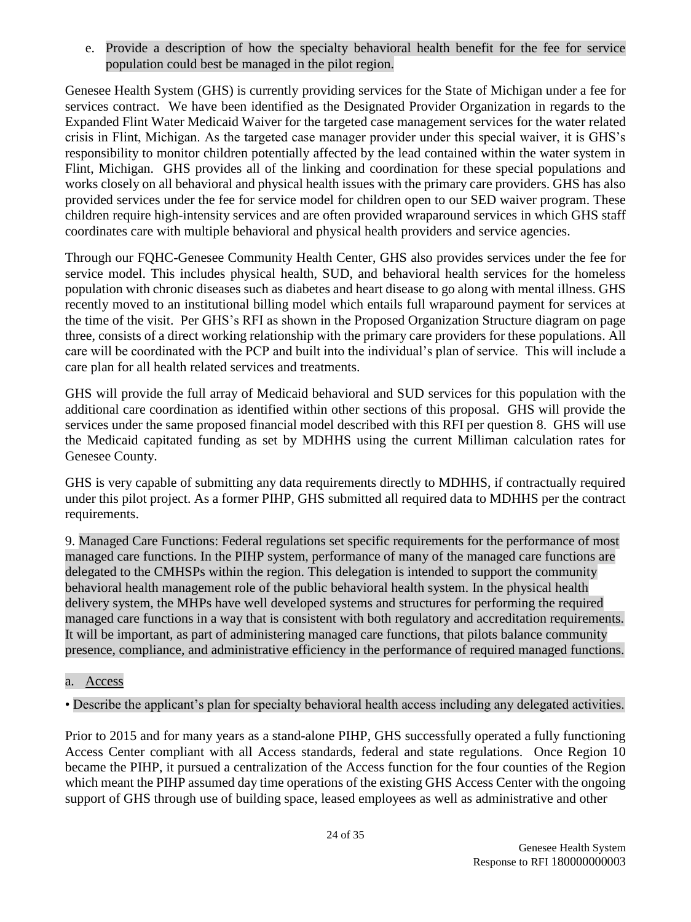e. Provide a description of how the specialty behavioral health benefit for the fee for service population could best be managed in the pilot region.

Genesee Health System (GHS) is currently providing services for the State of Michigan under a fee for services contract. We have been identified as the Designated Provider Organization in regards to the Expanded Flint Water Medicaid Waiver for the targeted case management services for the water related crisis in Flint, Michigan. As the targeted case manager provider under this special waiver, it is GHS's responsibility to monitor children potentially affected by the lead contained within the water system in Flint, Michigan. GHS provides all of the linking and coordination for these special populations and works closely on all behavioral and physical health issues with the primary care providers. GHS has also provided services under the fee for service model for children open to our SED waiver program. These children require high-intensity services and are often provided wraparound services in which GHS staff coordinates care with multiple behavioral and physical health providers and service agencies.

Through our FQHC-Genesee Community Health Center, GHS also provides services under the fee for service model. This includes physical health, SUD, and behavioral health services for the homeless population with chronic diseases such as diabetes and heart disease to go along with mental illness. GHS recently moved to an institutional billing model which entails full wraparound payment for services at the time of the visit. Per GHS's RFI as shown in the Proposed Organization Structure diagram on page three, consists of a direct working relationship with the primary care providers for these populations. All care will be coordinated with the PCP and built into the individual's plan of service. This will include a care plan for all health related services and treatments.

GHS will provide the full array of Medicaid behavioral and SUD services for this population with the additional care coordination as identified within other sections of this proposal. GHS will provide the services under the same proposed financial model described with this RFI per question 8. GHS will use the Medicaid capitated funding as set by MDHHS using the current Milliman calculation rates for Genesee County.

GHS is very capable of submitting any data requirements directly to MDHHS, if contractually required under this pilot project. As a former PIHP, GHS submitted all required data to MDHHS per the contract requirements.

9. Managed Care Functions: Federal regulations set specific requirements for the performance of most managed care functions. In the PIHP system, performance of many of the managed care functions are delegated to the CMHSPs within the region. This delegation is intended to support the community behavioral health management role of the public behavioral health system. In the physical health delivery system, the MHPs have well developed systems and structures for performing the required managed care functions in a way that is consistent with both regulatory and accreditation requirements. It will be important, as part of administering managed care functions, that pilots balance community presence, compliance, and administrative efficiency in the performance of required managed functions.

### a. Access

### • Describe the applicant's plan for specialty behavioral health access including any delegated activities.

Prior to 2015 and for many years as a stand-alone PIHP, GHS successfully operated a fully functioning Access Center compliant with all Access standards, federal and state regulations. Once Region 10 became the PIHP, it pursued a centralization of the Access function for the four counties of the Region which meant the PIHP assumed day time operations of the existing GHS Access Center with the ongoing support of GHS through use of building space, leased employees as well as administrative and other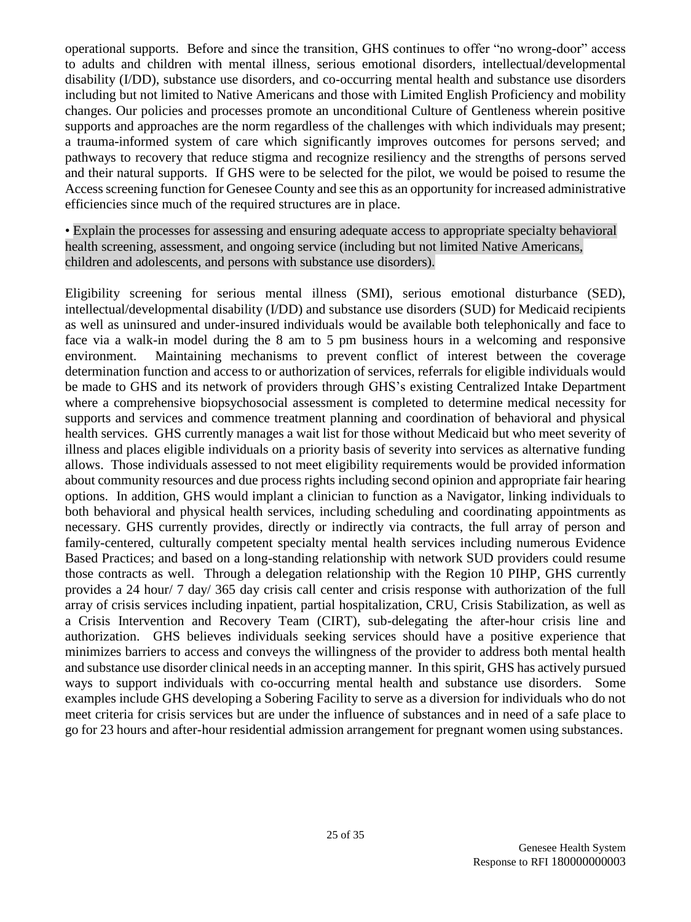operational supports. Before and since the transition, GHS continues to offer "no wrong-door" access to adults and children with mental illness, serious emotional disorders, intellectual/developmental disability (I/DD), substance use disorders, and co-occurring mental health and substance use disorders including but not limited to Native Americans and those with Limited English Proficiency and mobility changes. Our policies and processes promote an unconditional Culture of Gentleness wherein positive supports and approaches are the norm regardless of the challenges with which individuals may present; a trauma-informed system of care which significantly improves outcomes for persons served; and pathways to recovery that reduce stigma and recognize resiliency and the strengths of persons served and their natural supports. If GHS were to be selected for the pilot, we would be poised to resume the Access screening function for Genesee County and see this as an opportunity for increased administrative efficiencies since much of the required structures are in place.

• Explain the processes for assessing and ensuring adequate access to appropriate specialty behavioral health screening, assessment, and ongoing service (including but not limited Native Americans, children and adolescents, and persons with substance use disorders).

Eligibility screening for serious mental illness (SMI), serious emotional disturbance (SED), intellectual/developmental disability (I/DD) and substance use disorders (SUD) for Medicaid recipients as well as uninsured and under-insured individuals would be available both telephonically and face to face via a walk-in model during the 8 am to 5 pm business hours in a welcoming and responsive environment. Maintaining mechanisms to prevent conflict of interest between the coverage determination function and access to or authorization of services, referrals for eligible individuals would be made to GHS and its network of providers through GHS's existing Centralized Intake Department where a comprehensive biopsychosocial assessment is completed to determine medical necessity for supports and services and commence treatment planning and coordination of behavioral and physical health services. GHS currently manages a wait list for those without Medicaid but who meet severity of illness and places eligible individuals on a priority basis of severity into services as alternative funding allows. Those individuals assessed to not meet eligibility requirements would be provided information about community resources and due process rights including second opinion and appropriate fair hearing options. In addition, GHS would implant a clinician to function as a Navigator, linking individuals to both behavioral and physical health services, including scheduling and coordinating appointments as necessary. GHS currently provides, directly or indirectly via contracts, the full array of person and family-centered, culturally competent specialty mental health services including numerous Evidence Based Practices; and based on a long-standing relationship with network SUD providers could resume those contracts as well. Through a delegation relationship with the Region 10 PIHP, GHS currently provides a 24 hour/ 7 day/ 365 day crisis call center and crisis response with authorization of the full array of crisis services including inpatient, partial hospitalization, CRU, Crisis Stabilization, as well as a Crisis Intervention and Recovery Team (CIRT), sub-delegating the after-hour crisis line and authorization. GHS believes individuals seeking services should have a positive experience that minimizes barriers to access and conveys the willingness of the provider to address both mental health and substance use disorder clinical needs in an accepting manner. In this spirit, GHS has actively pursued ways to support individuals with co-occurring mental health and substance use disorders. Some examples include GHS developing a Sobering Facility to serve as a diversion for individuals who do not meet criteria for crisis services but are under the influence of substances and in need of a safe place to go for 23 hours and after-hour residential admission arrangement for pregnant women using substances.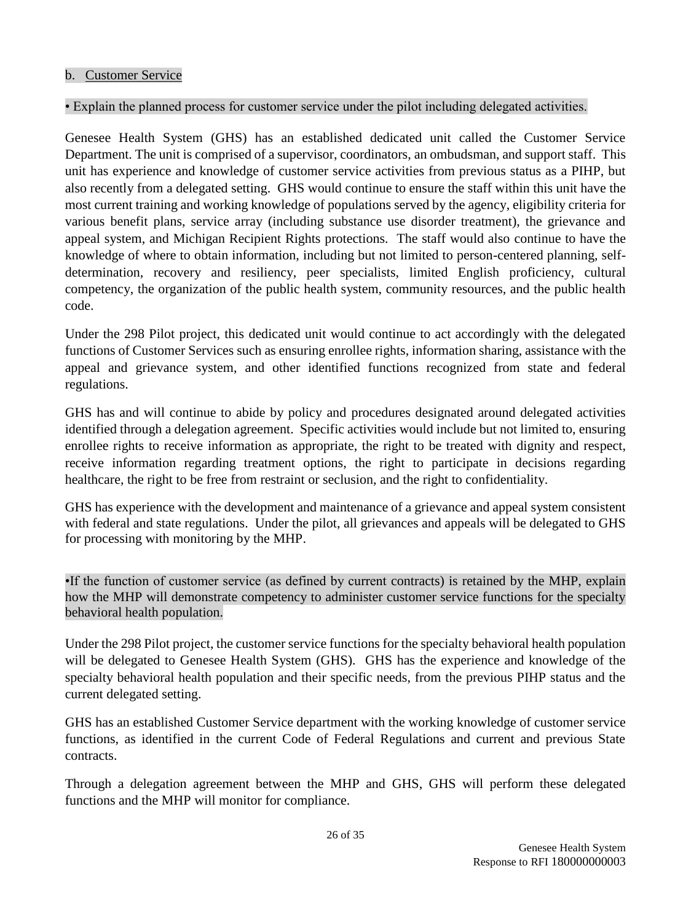#### • Explain the planned process for customer service under the pilot including delegated activities.

Genesee Health System (GHS) has an established dedicated unit called the Customer Service Department. The unit is comprised of a supervisor, coordinators, an ombudsman, and support staff. This unit has experience and knowledge of customer service activities from previous status as a PIHP, but also recently from a delegated setting. GHS would continue to ensure the staff within this unit have the most current training and working knowledge of populations served by the agency, eligibility criteria for various benefit plans, service array (including substance use disorder treatment), the grievance and appeal system, and Michigan Recipient Rights protections. The staff would also continue to have the knowledge of where to obtain information, including but not limited to person-centered planning, selfdetermination, recovery and resiliency, peer specialists, limited English proficiency, cultural competency, the organization of the public health system, community resources, and the public health code.

Under the 298 Pilot project, this dedicated unit would continue to act accordingly with the delegated functions of Customer Services such as ensuring enrollee rights, information sharing, assistance with the appeal and grievance system, and other identified functions recognized from state and federal regulations.

GHS has and will continue to abide by policy and procedures designated around delegated activities identified through a delegation agreement. Specific activities would include but not limited to, ensuring enrollee rights to receive information as appropriate, the right to be treated with dignity and respect, receive information regarding treatment options, the right to participate in decisions regarding healthcare, the right to be free from restraint or seclusion, and the right to confidentiality.

GHS has experience with the development and maintenance of a grievance and appeal system consistent with federal and state regulations. Under the pilot, all grievances and appeals will be delegated to GHS for processing with monitoring by the MHP.

•If the function of customer service (as defined by current contracts) is retained by the MHP, explain how the MHP will demonstrate competency to administer customer service functions for the specialty behavioral health population.

Under the 298 Pilot project, the customer service functions for the specialty behavioral health population will be delegated to Genesee Health System (GHS). GHS has the experience and knowledge of the specialty behavioral health population and their specific needs, from the previous PIHP status and the current delegated setting.

GHS has an established Customer Service department with the working knowledge of customer service functions, as identified in the current Code of Federal Regulations and current and previous State contracts.

Through a delegation agreement between the MHP and GHS, GHS will perform these delegated functions and the MHP will monitor for compliance.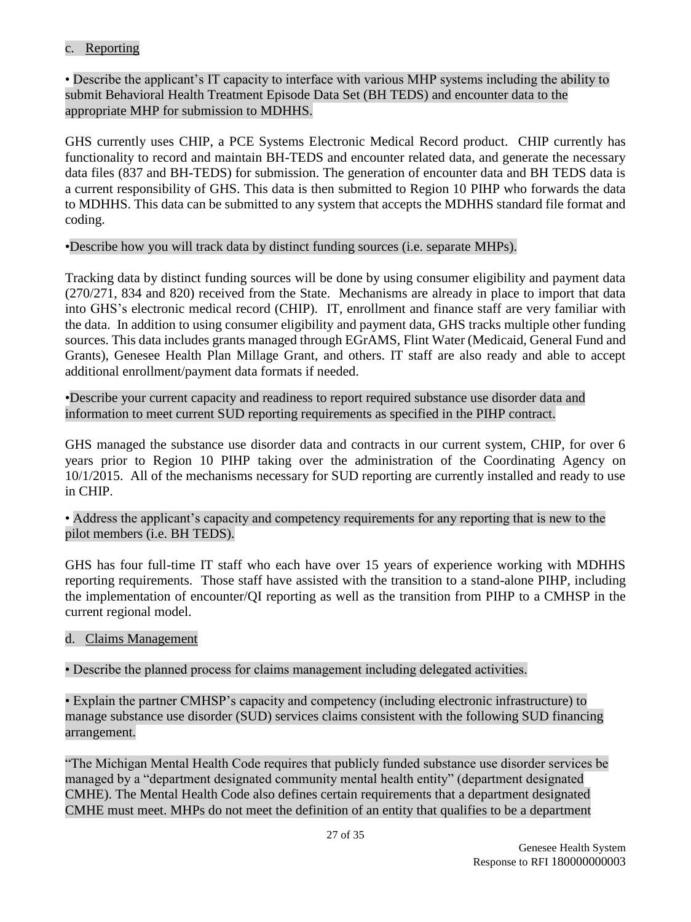#### c. Reporting

• Describe the applicant's IT capacity to interface with various MHP systems including the ability to submit Behavioral Health Treatment Episode Data Set (BH TEDS) and encounter data to the appropriate MHP for submission to MDHHS.

GHS currently uses CHIP, a PCE Systems Electronic Medical Record product. CHIP currently has functionality to record and maintain BH-TEDS and encounter related data, and generate the necessary data files (837 and BH-TEDS) for submission. The generation of encounter data and BH TEDS data is a current responsibility of GHS. This data is then submitted to Region 10 PIHP who forwards the data to MDHHS. This data can be submitted to any system that accepts the MDHHS standard file format and coding.

#### •Describe how you will track data by distinct funding sources (i.e. separate MHPs).

Tracking data by distinct funding sources will be done by using consumer eligibility and payment data (270/271, 834 and 820) received from the State. Mechanisms are already in place to import that data into GHS's electronic medical record (CHIP). IT, enrollment and finance staff are very familiar with the data. In addition to using consumer eligibility and payment data, GHS tracks multiple other funding sources. This data includes grants managed through EGrAMS, Flint Water (Medicaid, General Fund and Grants), Genesee Health Plan Millage Grant, and others. IT staff are also ready and able to accept additional enrollment/payment data formats if needed.

•Describe your current capacity and readiness to report required substance use disorder data and information to meet current SUD reporting requirements as specified in the PIHP contract.

GHS managed the substance use disorder data and contracts in our current system, CHIP, for over 6 years prior to Region 10 PIHP taking over the administration of the Coordinating Agency on 10/1/2015. All of the mechanisms necessary for SUD reporting are currently installed and ready to use in CHIP.

• Address the applicant's capacity and competency requirements for any reporting that is new to the pilot members (i.e. BH TEDS).

GHS has four full-time IT staff who each have over 15 years of experience working with MDHHS reporting requirements. Those staff have assisted with the transition to a stand-alone PIHP, including the implementation of encounter/QI reporting as well as the transition from PIHP to a CMHSP in the current regional model.

#### d. Claims Management

• Describe the planned process for claims management including delegated activities.

• Explain the partner CMHSP's capacity and competency (including electronic infrastructure) to manage substance use disorder (SUD) services claims consistent with the following SUD financing arrangement.

"The Michigan Mental Health Code requires that publicly funded substance use disorder services be managed by a "department designated community mental health entity" (department designated CMHE). The Mental Health Code also defines certain requirements that a department designated CMHE must meet. MHPs do not meet the definition of an entity that qualifies to be a department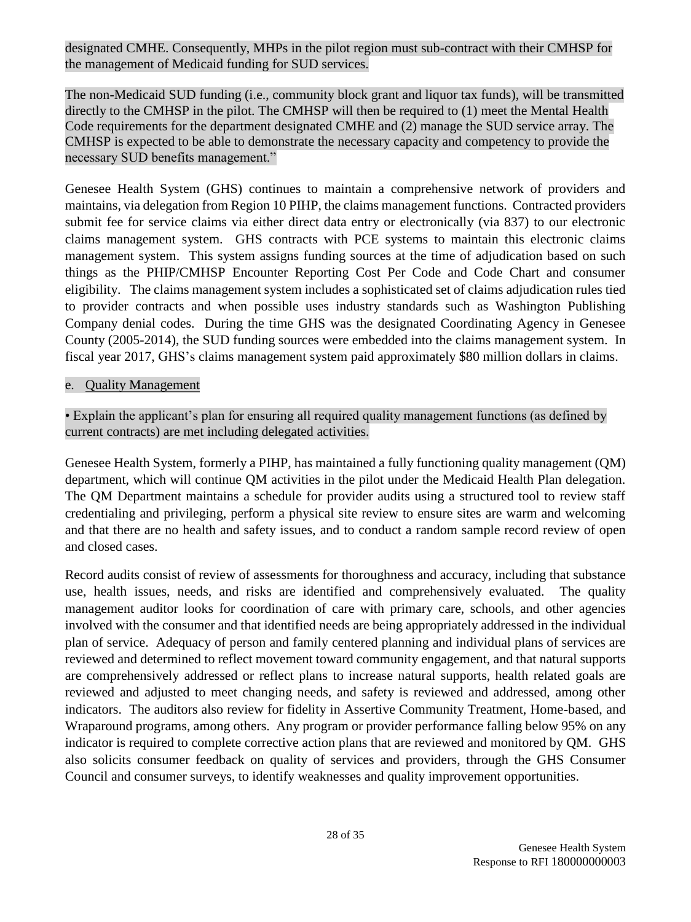designated CMHE. Consequently, MHPs in the pilot region must sub-contract with their CMHSP for the management of Medicaid funding for SUD services.

The non-Medicaid SUD funding (i.e., community block grant and liquor tax funds), will be transmitted directly to the CMHSP in the pilot. The CMHSP will then be required to (1) meet the Mental Health Code requirements for the department designated CMHE and (2) manage the SUD service array. The CMHSP is expected to be able to demonstrate the necessary capacity and competency to provide the necessary SUD benefits management."

Genesee Health System (GHS) continues to maintain a comprehensive network of providers and maintains, via delegation from Region 10 PIHP, the claims management functions. Contracted providers submit fee for service claims via either direct data entry or electronically (via 837) to our electronic claims management system. GHS contracts with PCE systems to maintain this electronic claims management system. This system assigns funding sources at the time of adjudication based on such things as the PHIP/CMHSP Encounter Reporting Cost Per Code and Code Chart and consumer eligibility. The claims management system includes a sophisticated set of claims adjudication rules tied to provider contracts and when possible uses industry standards such as Washington Publishing Company denial codes. During the time GHS was the designated Coordinating Agency in Genesee County (2005-2014), the SUD funding sources were embedded into the claims management system. In fiscal year 2017, GHS's claims management system paid approximately \$80 million dollars in claims.

#### e. Quality Management

### • Explain the applicant's plan for ensuring all required quality management functions (as defined by current contracts) are met including delegated activities.

Genesee Health System, formerly a PIHP, has maintained a fully functioning quality management (QM) department, which will continue QM activities in the pilot under the Medicaid Health Plan delegation. The QM Department maintains a schedule for provider audits using a structured tool to review staff credentialing and privileging, perform a physical site review to ensure sites are warm and welcoming and that there are no health and safety issues, and to conduct a random sample record review of open and closed cases.

Record audits consist of review of assessments for thoroughness and accuracy, including that substance use, health issues, needs, and risks are identified and comprehensively evaluated. The quality management auditor looks for coordination of care with primary care, schools, and other agencies involved with the consumer and that identified needs are being appropriately addressed in the individual plan of service. Adequacy of person and family centered planning and individual plans of services are reviewed and determined to reflect movement toward community engagement, and that natural supports are comprehensively addressed or reflect plans to increase natural supports, health related goals are reviewed and adjusted to meet changing needs, and safety is reviewed and addressed, among other indicators. The auditors also review for fidelity in Assertive Community Treatment, Home-based, and Wraparound programs, among others. Any program or provider performance falling below 95% on any indicator is required to complete corrective action plans that are reviewed and monitored by QM. GHS also solicits consumer feedback on quality of services and providers, through the GHS Consumer Council and consumer surveys, to identify weaknesses and quality improvement opportunities.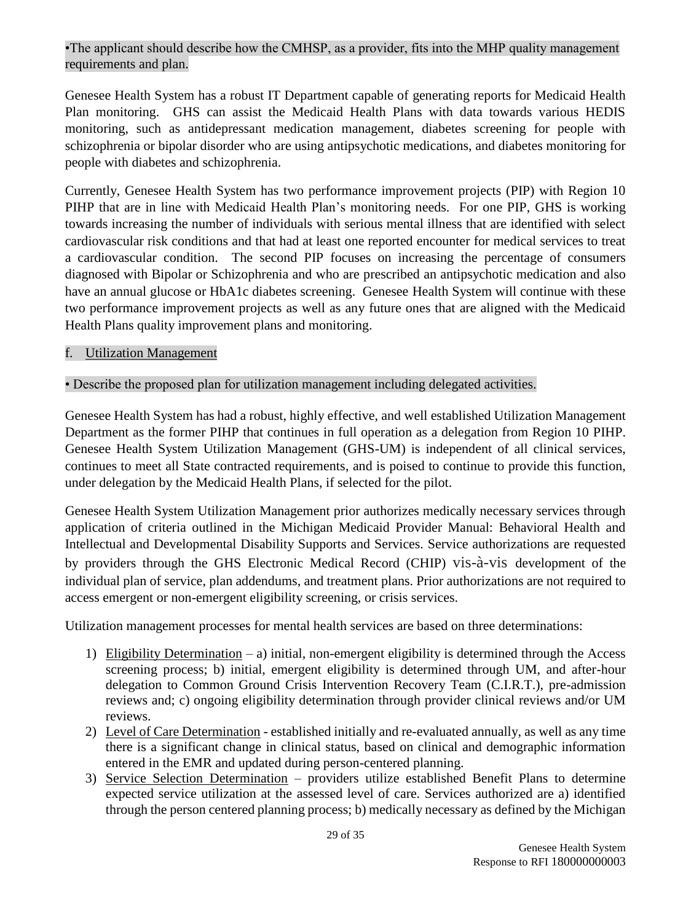#### •The applicant should describe how the CMHSP, as a provider, fits into the MHP quality management requirements and plan.

Genesee Health System has a robust IT Department capable of generating reports for Medicaid Health Plan monitoring. GHS can assist the Medicaid Health Plans with data towards various HEDIS monitoring, such as antidepressant medication management, diabetes screening for people with schizophrenia or bipolar disorder who are using antipsychotic medications, and diabetes monitoring for people with diabetes and schizophrenia.

Currently, Genesee Health System has two performance improvement projects (PIP) with Region 10 PIHP that are in line with Medicaid Health Plan's monitoring needs. For one PIP, GHS is working towards increasing the number of individuals with serious mental illness that are identified with select cardiovascular risk conditions and that had at least one reported encounter for medical services to treat a cardiovascular condition. The second PIP focuses on increasing the percentage of consumers diagnosed with Bipolar or Schizophrenia and who are prescribed an antipsychotic medication and also have an annual glucose or HbA1c diabetes screening. Genesee Health System will continue with these two performance improvement projects as well as any future ones that are aligned with the Medicaid Health Plans quality improvement plans and monitoring.

### f. Utilization Management

#### • Describe the proposed plan for utilization management including delegated activities.

Genesee Health System has had a robust, highly effective, and well established Utilization Management Department as the former PIHP that continues in full operation as a delegation from Region 10 PIHP. Genesee Health System Utilization Management (GHS-UM) is independent of all clinical services, continues to meet all State contracted requirements, and is poised to continue to provide this function, under delegation by the Medicaid Health Plans, if selected for the pilot.

Genesee Health System Utilization Management prior authorizes medically necessary services through application of criteria outlined in the Michigan Medicaid Provider Manual: Behavioral Health and Intellectual and Developmental Disability Supports and Services. Service authorizations are requested by providers through the GHS Electronic Medical Record (CHIP) vis-à-vis development of the individual plan of service, plan addendums, and treatment plans. Prior authorizations are not required to access emergent or non-emergent eligibility screening, or crisis services.

Utilization management processes for mental health services are based on three determinations:

- 1) Eligibility Determination a) initial, non-emergent eligibility is determined through the Access screening process; b) initial, emergent eligibility is determined through UM, and after-hour delegation to Common Ground Crisis Intervention Recovery Team (C.I.R.T.), pre-admission reviews and; c) ongoing eligibility determination through provider clinical reviews and/or UM reviews.
- 2) Level of Care Determination established initially and re-evaluated annually, as well as any time there is a significant change in clinical status, based on clinical and demographic information entered in the EMR and updated during person-centered planning.
- 3) Service Selection Determination providers utilize established Benefit Plans to determine expected service utilization at the assessed level of care. Services authorized are a) identified through the person centered planning process; b) medically necessary as defined by the Michigan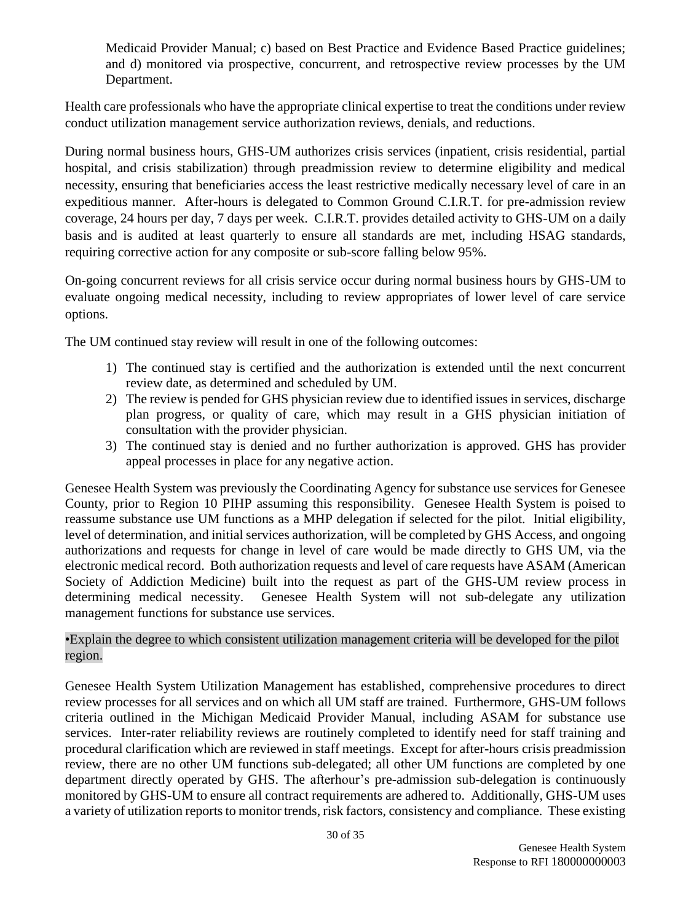Medicaid Provider Manual; c) based on Best Practice and Evidence Based Practice guidelines; and d) monitored via prospective, concurrent, and retrospective review processes by the UM Department.

Health care professionals who have the appropriate clinical expertise to treat the conditions under review conduct utilization management service authorization reviews, denials, and reductions.

During normal business hours, GHS-UM authorizes crisis services (inpatient, crisis residential, partial hospital, and crisis stabilization) through preadmission review to determine eligibility and medical necessity, ensuring that beneficiaries access the least restrictive medically necessary level of care in an expeditious manner. After-hours is delegated to Common Ground C.I.R.T. for pre-admission review coverage, 24 hours per day, 7 days per week. C.I.R.T. provides detailed activity to GHS-UM on a daily basis and is audited at least quarterly to ensure all standards are met, including HSAG standards, requiring corrective action for any composite or sub-score falling below 95%.

On-going concurrent reviews for all crisis service occur during normal business hours by GHS-UM to evaluate ongoing medical necessity, including to review appropriates of lower level of care service options.

The UM continued stay review will result in one of the following outcomes:

- 1) The continued stay is certified and the authorization is extended until the next concurrent review date, as determined and scheduled by UM.
- 2) The review is pended for GHS physician review due to identified issues in services, discharge plan progress, or quality of care, which may result in a GHS physician initiation of consultation with the provider physician.
- 3) The continued stay is denied and no further authorization is approved. GHS has provider appeal processes in place for any negative action.

Genesee Health System was previously the Coordinating Agency for substance use services for Genesee County, prior to Region 10 PIHP assuming this responsibility. Genesee Health System is poised to reassume substance use UM functions as a MHP delegation if selected for the pilot. Initial eligibility, level of determination, and initial services authorization, will be completed by GHS Access, and ongoing authorizations and requests for change in level of care would be made directly to GHS UM, via the electronic medical record. Both authorization requests and level of care requests have ASAM (American Society of Addiction Medicine) built into the request as part of the GHS-UM review process in determining medical necessity. Genesee Health System will not sub-delegate any utilization management functions for substance use services.

#### •Explain the degree to which consistent utilization management criteria will be developed for the pilot region.

Genesee Health System Utilization Management has established, comprehensive procedures to direct review processes for all services and on which all UM staff are trained. Furthermore, GHS-UM follows criteria outlined in the Michigan Medicaid Provider Manual, including ASAM for substance use services. Inter-rater reliability reviews are routinely completed to identify need for staff training and procedural clarification which are reviewed in staff meetings. Except for after-hours crisis preadmission review, there are no other UM functions sub-delegated; all other UM functions are completed by one department directly operated by GHS. The afterhour's pre-admission sub-delegation is continuously monitored by GHS-UM to ensure all contract requirements are adhered to. Additionally, GHS-UM uses a variety of utilization reports to monitor trends, risk factors, consistency and compliance. These existing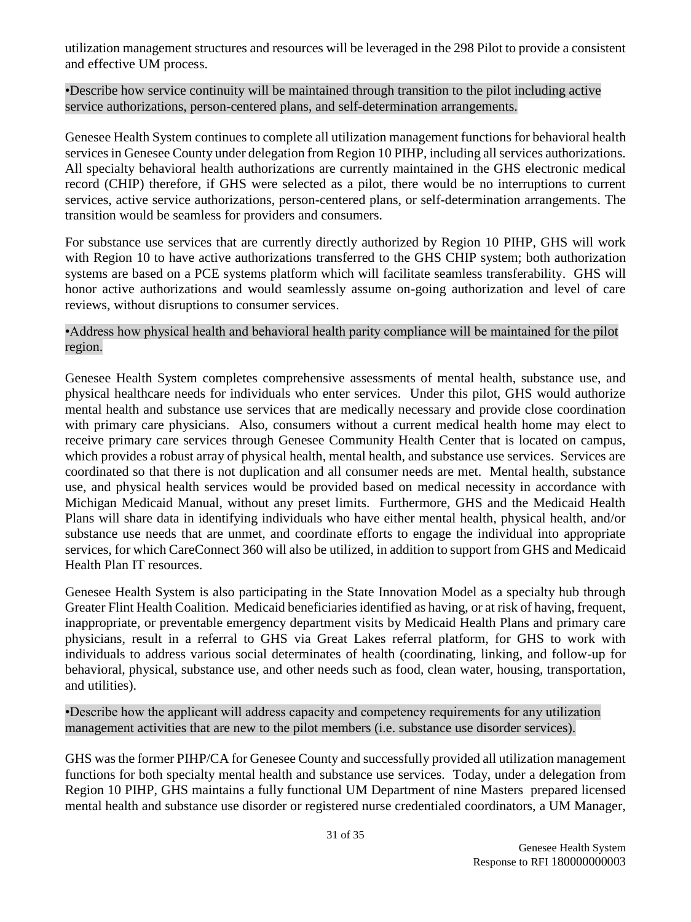utilization management structures and resources will be leveraged in the 298 Pilot to provide a consistent and effective UM process.

•Describe how service continuity will be maintained through transition to the pilot including active service authorizations, person-centered plans, and self-determination arrangements.

Genesee Health System continues to complete all utilization management functions for behavioral health services in Genesee County under delegation from Region 10 PIHP, including all services authorizations. All specialty behavioral health authorizations are currently maintained in the GHS electronic medical record (CHIP) therefore, if GHS were selected as a pilot, there would be no interruptions to current services, active service authorizations, person-centered plans, or self-determination arrangements. The transition would be seamless for providers and consumers.

For substance use services that are currently directly authorized by Region 10 PIHP, GHS will work with Region 10 to have active authorizations transferred to the GHS CHIP system; both authorization systems are based on a PCE systems platform which will facilitate seamless transferability. GHS will honor active authorizations and would seamlessly assume on-going authorization and level of care reviews, without disruptions to consumer services.

#### •Address how physical health and behavioral health parity compliance will be maintained for the pilot region.

Genesee Health System completes comprehensive assessments of mental health, substance use, and physical healthcare needs for individuals who enter services. Under this pilot, GHS would authorize mental health and substance use services that are medically necessary and provide close coordination with primary care physicians. Also, consumers without a current medical health home may elect to receive primary care services through Genesee Community Health Center that is located on campus, which provides a robust array of physical health, mental health, and substance use services. Services are coordinated so that there is not duplication and all consumer needs are met. Mental health, substance use, and physical health services would be provided based on medical necessity in accordance with Michigan Medicaid Manual, without any preset limits. Furthermore, GHS and the Medicaid Health Plans will share data in identifying individuals who have either mental health, physical health, and/or substance use needs that are unmet, and coordinate efforts to engage the individual into appropriate services, for which CareConnect 360 will also be utilized, in addition to support from GHS and Medicaid Health Plan IT resources.

Genesee Health System is also participating in the State Innovation Model as a specialty hub through Greater Flint Health Coalition. Medicaid beneficiaries identified as having, or at risk of having, frequent, inappropriate, or preventable emergency department visits by Medicaid Health Plans and primary care physicians, result in a referral to GHS via Great Lakes referral platform, for GHS to work with individuals to address various social determinates of health (coordinating, linking, and follow-up for behavioral, physical, substance use, and other needs such as food, clean water, housing, transportation, and utilities).

•Describe how the applicant will address capacity and competency requirements for any utilization management activities that are new to the pilot members (i.e. substance use disorder services).

GHS was the former PIHP/CA for Genesee County and successfully provided all utilization management functions for both specialty mental health and substance use services. Today, under a delegation from Region 10 PIHP, GHS maintains a fully functional UM Department of nine Masters prepared licensed mental health and substance use disorder or registered nurse credentialed coordinators, a UM Manager,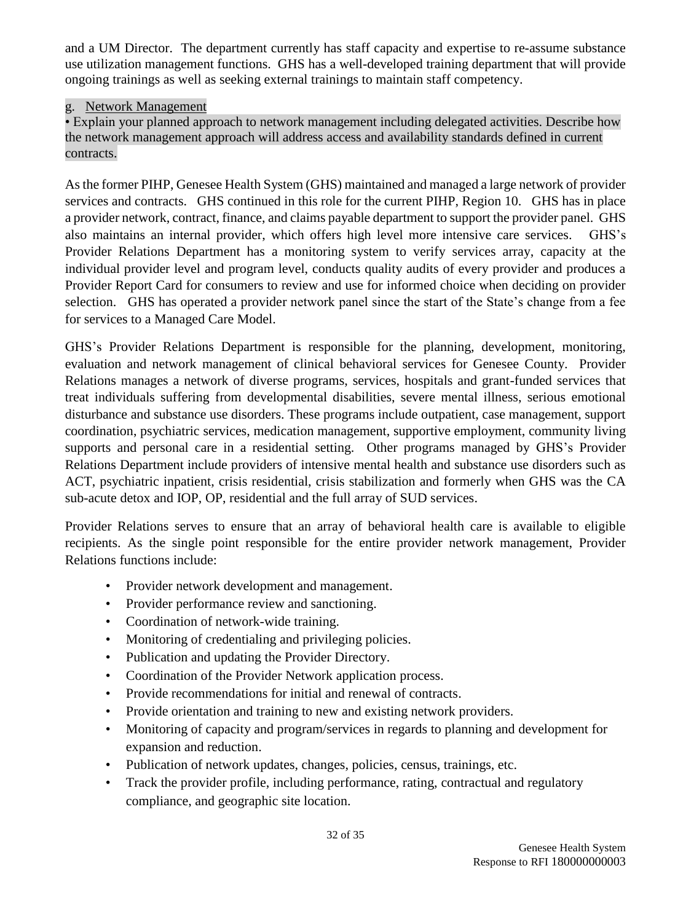and a UM Director. The department currently has staff capacity and expertise to re-assume substance use utilization management functions. GHS has a well-developed training department that will provide ongoing trainings as well as seeking external trainings to maintain staff competency.

#### g. Network Management

• Explain your planned approach to network management including delegated activities. Describe how the network management approach will address access and availability standards defined in current contracts.

As the former PIHP, Genesee Health System (GHS) maintained and managed a large network of provider services and contracts. GHS continued in this role for the current PIHP, Region 10. GHS has in place a provider network, contract, finance, and claims payable department to support the provider panel. GHS also maintains an internal provider, which offers high level more intensive care services. GHS's Provider Relations Department has a monitoring system to verify services array, capacity at the individual provider level and program level, conducts quality audits of every provider and produces a Provider Report Card for consumers to review and use for informed choice when deciding on provider selection. GHS has operated a provider network panel since the start of the State's change from a fee for services to a Managed Care Model.

GHS's Provider Relations Department is responsible for the planning, development, monitoring, evaluation and network management of clinical behavioral services for Genesee County. Provider Relations manages a network of diverse programs, services, hospitals and grant-funded services that treat individuals suffering from developmental disabilities, severe mental illness, serious emotional disturbance and substance use disorders. These programs include outpatient, case management, support coordination, psychiatric services, medication management, supportive employment, community living supports and personal care in a residential setting. Other programs managed by GHS's Provider Relations Department include providers of intensive mental health and substance use disorders such as ACT, psychiatric inpatient, crisis residential, crisis stabilization and formerly when GHS was the CA sub-acute detox and IOP, OP, residential and the full array of SUD services.

Provider Relations serves to ensure that an array of behavioral health care is available to eligible recipients. As the single point responsible for the entire provider network management, Provider Relations functions include:

- Provider network development and management.
- Provider performance review and sanctioning.
- Coordination of network-wide training.
- Monitoring of credentialing and privileging policies.
- Publication and updating the Provider Directory.
- Coordination of the Provider Network application process.
- Provide recommendations for initial and renewal of contracts.
- Provide orientation and training to new and existing network providers.
- Monitoring of capacity and program/services in regards to planning and development for expansion and reduction.
- Publication of network updates, changes, policies, census, trainings, etc.
- Track the provider profile, including performance, rating, contractual and regulatory compliance, and geographic site location.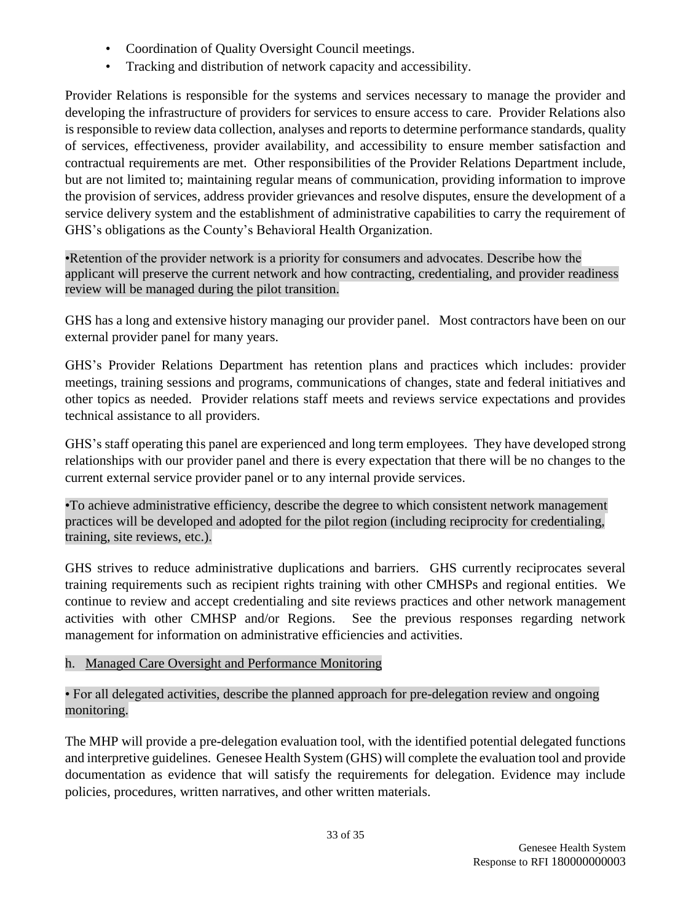- Coordination of Quality Oversight Council meetings.
- Tracking and distribution of network capacity and accessibility.

Provider Relations is responsible for the systems and services necessary to manage the provider and developing the infrastructure of providers for services to ensure access to care. Provider Relations also is responsible to review data collection, analyses and reports to determine performance standards, quality of services, effectiveness, provider availability, and accessibility to ensure member satisfaction and contractual requirements are met. Other responsibilities of the Provider Relations Department include, but are not limited to; maintaining regular means of communication, providing information to improve the provision of services, address provider grievances and resolve disputes, ensure the development of a service delivery system and the establishment of administrative capabilities to carry the requirement of GHS's obligations as the County's Behavioral Health Organization.

•Retention of the provider network is a priority for consumers and advocates. Describe how the applicant will preserve the current network and how contracting, credentialing, and provider readiness review will be managed during the pilot transition.

GHS has a long and extensive history managing our provider panel. Most contractors have been on our external provider panel for many years.

GHS's Provider Relations Department has retention plans and practices which includes: provider meetings, training sessions and programs, communications of changes, state and federal initiatives and other topics as needed. Provider relations staff meets and reviews service expectations and provides technical assistance to all providers.

GHS's staff operating this panel are experienced and long term employees. They have developed strong relationships with our provider panel and there is every expectation that there will be no changes to the current external service provider panel or to any internal provide services.

•To achieve administrative efficiency, describe the degree to which consistent network management practices will be developed and adopted for the pilot region (including reciprocity for credentialing, training, site reviews, etc.).

GHS strives to reduce administrative duplications and barriers. GHS currently reciprocates several training requirements such as recipient rights training with other CMHSPs and regional entities. We continue to review and accept credentialing and site reviews practices and other network management activities with other CMHSP and/or Regions. See the previous responses regarding network management for information on administrative efficiencies and activities.

### h. Managed Care Oversight and Performance Monitoring

• For all delegated activities, describe the planned approach for pre-delegation review and ongoing monitoring.

The MHP will provide a pre-delegation evaluation tool, with the identified potential delegated functions and interpretive guidelines. Genesee Health System (GHS) will complete the evaluation tool and provide documentation as evidence that will satisfy the requirements for delegation. Evidence may include policies, procedures, written narratives, and other written materials.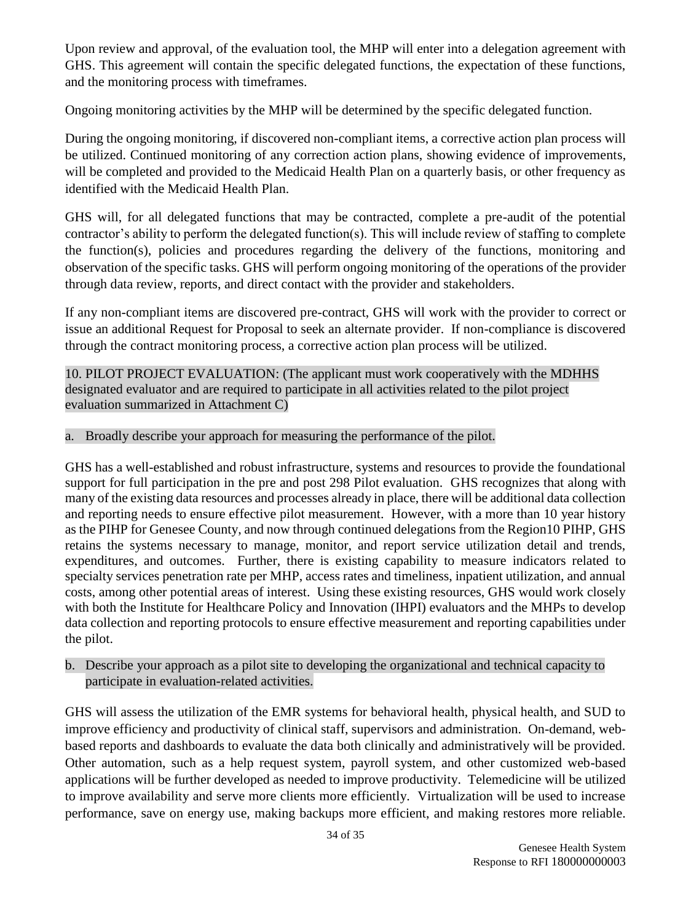Upon review and approval, of the evaluation tool, the MHP will enter into a delegation agreement with GHS. This agreement will contain the specific delegated functions, the expectation of these functions, and the monitoring process with timeframes.

Ongoing monitoring activities by the MHP will be determined by the specific delegated function.

During the ongoing monitoring, if discovered non-compliant items, a corrective action plan process will be utilized. Continued monitoring of any correction action plans, showing evidence of improvements, will be completed and provided to the Medicaid Health Plan on a quarterly basis, or other frequency as identified with the Medicaid Health Plan.

GHS will, for all delegated functions that may be contracted, complete a pre-audit of the potential contractor's ability to perform the delegated function(s). This will include review of staffing to complete the function(s), policies and procedures regarding the delivery of the functions, monitoring and observation of the specific tasks. GHS will perform ongoing monitoring of the operations of the provider through data review, reports, and direct contact with the provider and stakeholders.

If any non-compliant items are discovered pre-contract, GHS will work with the provider to correct or issue an additional Request for Proposal to seek an alternate provider. If non-compliance is discovered through the contract monitoring process, a corrective action plan process will be utilized.

10. PILOT PROJECT EVALUATION: (The applicant must work cooperatively with the MDHHS designated evaluator and are required to participate in all activities related to the pilot project evaluation summarized in Attachment C)

### a. Broadly describe your approach for measuring the performance of the pilot.

GHS has a well-established and robust infrastructure, systems and resources to provide the foundational support for full participation in the pre and post 298 Pilot evaluation. GHS recognizes that along with many of the existing data resources and processes already in place, there will be additional data collection and reporting needs to ensure effective pilot measurement. However, with a more than 10 year history as the PIHP for Genesee County, and now through continued delegations from the Region10 PIHP, GHS retains the systems necessary to manage, monitor, and report service utilization detail and trends, expenditures, and outcomes. Further, there is existing capability to measure indicators related to specialty services penetration rate per MHP, access rates and timeliness, inpatient utilization, and annual costs, among other potential areas of interest. Using these existing resources, GHS would work closely with both the Institute for Healthcare Policy and Innovation (IHPI) evaluators and the MHPs to develop data collection and reporting protocols to ensure effective measurement and reporting capabilities under the pilot.

b. Describe your approach as a pilot site to developing the organizational and technical capacity to participate in evaluation-related activities.

GHS will assess the utilization of the EMR systems for behavioral health, physical health, and SUD to improve efficiency and productivity of clinical staff, supervisors and administration. On-demand, webbased reports and dashboards to evaluate the data both clinically and administratively will be provided. Other automation, such as a help request system, payroll system, and other customized web-based applications will be further developed as needed to improve productivity. Telemedicine will be utilized to improve availability and serve more clients more efficiently. Virtualization will be used to increase performance, save on energy use, making backups more efficient, and making restores more reliable.